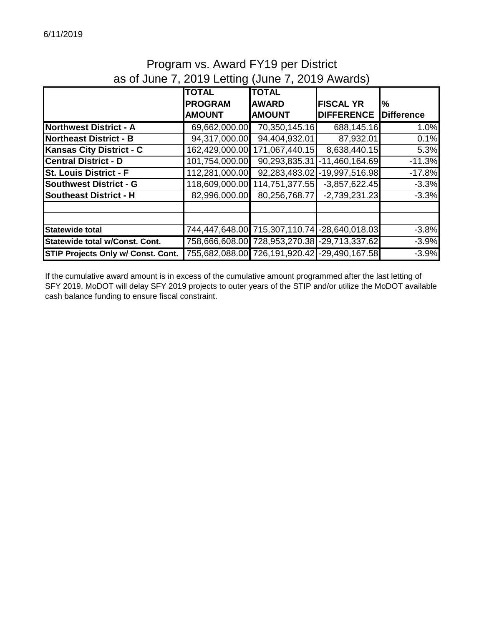# Program vs. Award FY19 per District as of June 7, 2019 Letting (June 7, 2019 Awards)

|                                    | <b>TOTAL</b>   | <b>TOTAL</b>                                 |                   |                   |
|------------------------------------|----------------|----------------------------------------------|-------------------|-------------------|
|                                    | <b>PROGRAM</b> | <b>AWARD</b>                                 | <b>FISCAL YR</b>  | $\frac{9}{6}$     |
|                                    | <b>AMOUNT</b>  | <b>AMOUNT</b>                                | <b>DIFFERENCE</b> | <b>Difference</b> |
| <b>Northwest District - A</b>      | 69,662,000.00  | 70,350,145.16                                | 688,145.16        | 1.0%              |
| <b>Northeast District - B</b>      | 94,317,000.00  | 94,404,932.01                                | 87,932.01         | 0.1%              |
| <b>Kansas City District - C</b>    | 162,429,000.00 | 171,067,440.15                               | 8,638,440.15      | 5.3%              |
| <b>Central District - D</b>        | 101,754,000.00 | 90,293,835.31                                | $-11,460,164.69$  | $-11.3%$          |
| <b>St. Louis District - F</b>      | 112,281,000.00 | 92,283,483.02                                | $-19,997,516.98$  | $-17.8%$          |
| <b>Southwest District - G</b>      | 118,609,000.00 | 114,751,377.55                               | $-3,857,622.45$   | $-3.3%$           |
| <b>Southeast District - H</b>      | 82,996,000.00  | 80,256,768.77                                | $-2,739,231.23$   | $-3.3%$           |
|                                    |                |                                              |                   |                   |
|                                    |                |                                              |                   |                   |
| <b>Statewide total</b>             |                | 744,447,648.00 715,307,110.74 -28,640,018.03 |                   | $-3.8%$           |
| Statewide total w/Const. Cont.     | 758,666,608.00 | 728,953,270.38 - 29,713,337.62               |                   | $-3.9%$           |
| STIP Projects Only w/ Const. Cont. |                | 755,682,088.00 726,191,920.42 -29,490,167.58 |                   | $-3.9%$           |

If the cumulative award amount is in excess of the cumulative amount programmed after the last letting of SFY 2019, MoDOT will delay SFY 2019 projects to outer years of the STIP and/or utilize the MoDOT available cash balance funding to ensure fiscal constraint.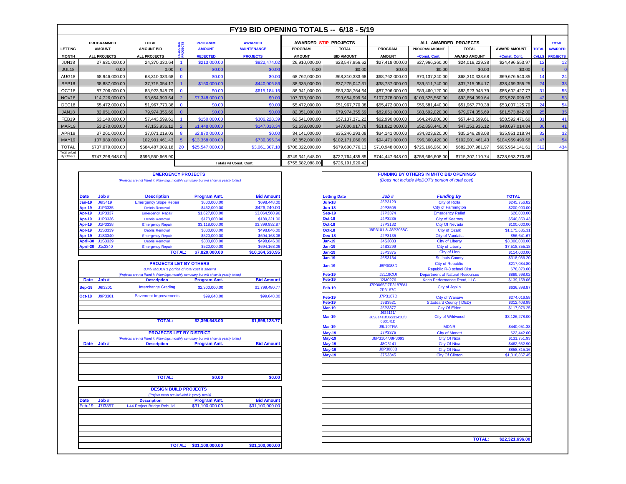| FY19 BID OPENING TOTALS -- 6/18 - 5/19 |                               |                     |          |                 |                    |                  |                       |                  |                       |                      |                     |                 |                       |
|----------------------------------------|-------------------------------|---------------------|----------|-----------------|--------------------|------------------|-----------------------|------------------|-----------------------|----------------------|---------------------|-----------------|-----------------------|
|                                        | PROGRAMMED                    | <b>TOTAL</b>        | 유유       | <b>PROGRAM</b>  | <b>AWARDED</b>     |                  | AWARDED STIP PROJECTS |                  |                       | ALL AWARDED PROJECTS |                     |                 | <b>TOTAL</b>          |
| <b>LETTING</b>                         | <b>AMOUNT</b>                 | <b>AMOUNT BID</b>   | تتتدف    | <b>AMOUNT</b>   | <b>MAINTENANCE</b> | <b>PROGRAM</b>   | <b>TOTAL</b>          | <b>PROGRAM</b>   | <b>PROGRAM AMOUNT</b> | <b>TOTAL</b>         | <b>AWARD AMOUNT</b> | <b>TOTAL</b>    | <b>AWARDED</b>        |
| <b>MONTH</b>                           | <b>ALL PROJECTS</b>           | <b>ALL PROJECTS</b> |          | <b>REJECTED</b> | <b>PROJECTS</b>    | <b>AMOUNT</b>    | <b>BID AMOUNT</b>     | <b>AMOUNT</b>    | +Const. Cont.         | <b>AWARD AMOUNT</b>  | +Const. Cont.       |                 | <b>CALLS PROJECTS</b> |
| <b>JUN18</b>                           | 27,631,000.00                 | 24,370,330.64       |          | \$213,000.00    | \$822,474.02       | 26,910,000.00    | \$23,547,856.62       | \$27,418,000.00  | \$27,966,360.00       | \$24,016,229.38      | \$24,496,553.97     |                 | 12                    |
| JUL18                                  | 0.00                          | 0.00                | $\Omega$ | \$0.00          | \$0.00             | 0.00             | \$0.00                | \$0.00           | \$0.00                | \$0.00               | \$0.00              |                 |                       |
| AUG18                                  | 68,946,000.00                 | 68,310,333.68       | $\Omega$ | \$0.00          | \$0.00             | 68,762,000.00    | \$68,310,333.68       | \$68,762,000.00  | \$70,137,240.00       | \$68,310,333.68      | \$69,676,540.35     |                 | 24                    |
| SEP <sub>18</sub>                      | 38,887,000.00                 | 37,715,054.17       |          | \$150,000.00    | \$440,006.86       | 38,335,000.00    | \$37,275,047.31       | \$38,737,000.00  | \$39,511,740.00       | \$37,715,054.17      | \$38,469,355.25     |                 | 33                    |
| OCT18                                  | 87,706,000.00                 | 83,923,948.79       | $\Omega$ | \$0.00          | \$615,184.15       | 86,941,000.00    | \$83,308,764.64       | \$87,706,000.00  | \$89,460,120.00       | \$83,923,948.79      | \$85,602,427.77     | 31              | 55                    |
| NOV <sub>18</sub>                      | 114,726,000.00                | 93,654,999.64       |          | \$7,348,000,00  | \$0.00             | 107,378,000.00   | \$93,654,999.64       | \$107,378,000.00 | \$109,525,560.00      | \$93,654,999.64      | \$95,528,099.63     |                 | 53                    |
| DEC18                                  | 55,472,000.00                 | 51,967,770.38       | $\Omega$ | \$0.00          | \$0.00             | 55.472.000.00    | \$51.967.770.38       | \$55,472,000.00  | \$56,581,440.00       | \$51,967,770.38      | \$53,007,125.79     |                 | 54                    |
| <b>JAN18</b>                           | 82,051,000.00                 | 79,974,355.69       | $\Omega$ | \$0.00          | \$0.00             | 82,051,000.00    | \$79,974,355.69       | \$82,051,000.00  | \$83,692,020.00       | \$79,974,355.69      | \$81,573,842.80     | 25 <sub>1</sub> | 35                    |
| FEB19                                  | 63,140,000.00                 | 57,443,599.61       |          | \$150,000.00    | \$306,228.39       | 62,541,000.00    | \$57,137,371.22       | \$62,990,000.00  | \$64,249,800.00       | \$57,443,599.61      | \$58,592,471.60     | 31              | 41                    |
| MAR19                                  | 53,270,000.00                 | 47, 153, 936. 12    |          | \$1,448,000.00  | \$147,018.34       | 51,639,000.00    | \$47,006,917.78       | \$51,822,000.00  | \$52,858,440.00       | \$47,153,936.12      | \$48,097,014.84     | 30 <sub>1</sub> | 41                    |
| APR19                                  | 37,261,000.00                 | 37,071,219.03       | 8        | \$2,870,000,00  | \$0.00             | 34,141,000.00    | \$35,246,293.08       | \$34.141.000.00  | \$34,823,820.00       | \$35,246,293.08      | \$35,951,218.94     | 32              | 32                    |
| MAY19                                  | 107,989,000.00                | 102,901,461.43      |          | \$13,368,000.00 | \$730,395.34       | 93,852,000.00    | \$102,171,066.09      | \$94,471,000.00  | \$96,360,420.00       | \$102,901,461.43     | \$104,959,490.66    |                 | 54                    |
| <b>TOTAL</b>                           | \$737,079,000.00              | \$684,487,009.18    | 20       | \$25,547,000.00 | \$3,061,307.1      | \$708,022,000.00 | \$679,600,776.13      | \$710,948,000.00 | \$725,166,960.00      | \$682,307,981.97     | \$695,954,141.61    | 312             | 434                   |
| Total w/Let<br>By Others               | \$747,298,648.00              | \$696,550,668.90    |          |                 |                    | \$749,341,648.00 | \$722,764,435.85      | \$744,447,648.00 | \$758,666,608.00      | \$715,307,110.74     | \$728,953,270.38    |                 |                       |
|                                        | <b>Totals w/ Const. Cont.</b> |                     |          |                 |                    | \$755,682,088.00 | \$726,191,920.42      |                  |                       |                      |                     |                 |                       |

|               | <b>EMERGENCY PROJECTS</b>                                                             |                               |                     |                   |                     |                                                  | <b>FUNDING BY OTHERS IN MHTC BID OPENINGS</b> |              |
|---------------|---------------------------------------------------------------------------------------|-------------------------------|---------------------|-------------------|---------------------|--------------------------------------------------|-----------------------------------------------|--------------|
|               | (Projects are not listed in Plannings monthly summary but will show in yearly totals) |                               |                     |                   |                     | (Does not include MoDOT's portion of total cost) |                                               |              |
|               |                                                                                       |                               |                     |                   |                     |                                                  |                                               |              |
| <b>Date</b>   | Job#                                                                                  | <b>Description</b>            | <b>Program Amt.</b> | <b>Bid Amount</b> | <b>Letting Date</b> | Job#                                             | <b>Funding By</b>                             | <b>TOTAL</b> |
| $Jan-19$      | J613419                                                                               | <b>Emergency Slope Repair</b> | \$800,000,00        | \$698,448.00      | <b>Jun-18</b>       | J5P3129                                          | <b>City of Rolla</b>                          | \$245,7      |
| <b>Apr-19</b> | J1P3335                                                                               | <b>Debris Removal</b>         | \$462,000,00        | \$426,240.00      | <b>Jun-18</b>       | J9P3505                                          | <b>City of Farmington</b>                     | \$200,0      |
| <b>Apr-19</b> | J1P3337                                                                               | <b>Emergency Repair</b>       | \$1,627,000.00      | \$3,064,560.96    | <b>Sep-19</b>       | J7P3374                                          | <b>Emergency Relief</b>                       | \$26,0       |
| <b>Apr-19</b> | J1P3336                                                                               | <b>Debris Removal</b>         | \$173,000.00        | \$189,321.00      | <b>Oct-18</b>       | J4P3235                                          | <b>City of Kearney</b>                        | \$540.8      |
| <b>Apr-19</b> | J1P3338                                                                               | <b>Emergency Repair</b>       | \$3,118,000.00      | \$3,399,932.87    | <b>Oct-18</b>       | J7P3132                                          | <b>City Of Nevada</b>                         | \$100,0      |
| <b>Apr-19</b> | J1S3339                                                                               | <b>Debris Removal</b>         | \$300,000.00        | \$498,846.00      | <b>Oct-18</b>       | J8P3101 & J8P3088C                               | <b>City of Ozark</b>                          | \$1,175,6    |
| <b>Apr-19</b> | J1S3340                                                                               | <b>Emergency Repair</b>       | \$520,000.00        | \$694,168.06      | <b>Dec-18</b>       | J2P3135                                          | <b>City of Vandalia</b>                       | \$56.6       |
|               | April-30 J1S3339                                                                      | <b>Debris Removal</b>         | \$300,000,00        | \$498,846,00      | $Jan-19$            | J4S3083                                          | <b>City of Liberty</b>                        | \$3,000,0    |
|               | April-30 J1s3340                                                                      | <b>Emergency Repair</b>       | \$520,000.00        | \$694,168.06      | $Jan-19$            | J4S3299                                          | <b>City of Liberty</b>                        | \$7,518,3    |
|               |                                                                                       | <b>TOTAL:</b>                 | \$7,820,000.00      | \$10.164.530.95   | $Jan-19$            | J5P3375                                          | City of Linn                                  | \$114.0      |

|         |                              |                     |                                                                                |                                                                                       | J8P3088D                                   |
|---------|------------------------------|---------------------|--------------------------------------------------------------------------------|---------------------------------------------------------------------------------------|--------------------------------------------|
|         |                              |                     |                                                                                |                                                                                       |                                            |
|         |                              |                     |                                                                                | Feb-19                                                                                | J2L19CUI                                   |
| Job #   | <b>Description</b>           | <b>Program Amt.</b> | <b>Bid Amount</b>                                                              | Feb-19                                                                                | J2M0276                                    |
| J6I3201 | <b>Interchange Grading</b>   | \$2,300,000,00      | \$1,799,480.77                                                                 | Feb-19                                                                                | J7P3065/J7P3187B/J<br>7P3187C              |
| J9P3301 | <b>Pavement Improvements</b> | \$99,648.00         | \$99,648.00                                                                    | <b>Feb-19</b>                                                                         | J7P3187D                                   |
|         |                              |                     |                                                                                | Feb-19                                                                                | J9S3521                                    |
|         |                              |                     |                                                                                | <b>Mar-19</b>                                                                         | J5P3377                                    |
|         | <b>TOTAL:</b>                | \$2,399,648.00      | \$1,899,128.77                                                                 | <b>Mar-19</b>                                                                         | J6S3131/<br>J6S3141B/J6S3141C/J<br>6S3141D |
|         |                              |                     | <b>PROJECTS LET BY OTHERS</b><br>(Only MoDOT's portion of total cost is shown) | (Projects are not listed in Plannings monthly summary but will show in yearly totals) | <b>Jan-19</b>                              |

| <b>PROJECTS LET BY DISTRICT</b>                                                       |      |                    |                     |                   |  |  |  |  |
|---------------------------------------------------------------------------------------|------|--------------------|---------------------|-------------------|--|--|--|--|
| (Projects are not listed in Plannings monthly summary but will show in yearly totals) |      |                    |                     |                   |  |  |  |  |
| <b>Date</b>                                                                           | Job# | <b>Description</b> | <b>Program Amt.</b> | <b>Bid Amount</b> |  |  |  |  |
|                                                                                       |      |                    |                     |                   |  |  |  |  |
|                                                                                       |      |                    |                     |                   |  |  |  |  |
|                                                                                       |      |                    |                     |                   |  |  |  |  |
|                                                                                       |      |                    |                     |                   |  |  |  |  |
|                                                                                       |      |                    |                     |                   |  |  |  |  |
|                                                                                       |      | <b>TOTAL:</b>      | \$0.00              | \$0.00            |  |  |  |  |

|                                                | <b>DESIGN BUILD PROJECTS</b> |                             |                     |                   |  |  |  |  |
|------------------------------------------------|------------------------------|-----------------------------|---------------------|-------------------|--|--|--|--|
| (Project totals are included in yearly totals) |                              |                             |                     |                   |  |  |  |  |
| <b>Date</b>                                    | Job #                        | <b>Description</b>          | <b>Program Amt.</b> | <b>Bid Amount</b> |  |  |  |  |
| Feb-19                                         | J713357                      | I-44 Project Bridge Rebuild | \$31,100,000.00     | \$31,100,000.00   |  |  |  |  |
|                                                |                              |                             |                     |                   |  |  |  |  |
|                                                |                              |                             |                     |                   |  |  |  |  |
|                                                |                              |                             |                     |                   |  |  |  |  |
|                                                |                              |                             |                     |                   |  |  |  |  |
|                                                |                              |                             |                     |                   |  |  |  |  |
|                                                |                              |                             |                     |                   |  |  |  |  |
|                                                |                              |                             |                     |                   |  |  |  |  |

|               |                  | <b>EMERGENCY PROJECTS</b>                                                             |                     |                   |                     |                               | <b>FUNDING BY OTHERS IN MHTC BID OPENINGS</b>    |                 |
|---------------|------------------|---------------------------------------------------------------------------------------|---------------------|-------------------|---------------------|-------------------------------|--------------------------------------------------|-----------------|
|               |                  | (Projects are not listed in Plannings monthly summary but will show in yearly totals) |                     |                   |                     |                               | (Does not include MoDOT's portion of total cost) |                 |
|               |                  |                                                                                       |                     |                   |                     |                               |                                                  |                 |
| <b>Date</b>   | Job#             | <b>Description</b>                                                                    | <b>Program Amt.</b> | <b>Bid Amount</b> | <b>Letting Date</b> | Job #                         | <b>Funding By</b>                                | <b>TOTAL</b>    |
| <b>Jan-19</b> | J6I3419          | <b>Emergency Slope Repair</b>                                                         | \$800,000.00        | \$698,448.00      | <b>Jun-18</b>       | J5P3129                       | <b>City of Rolla</b>                             | \$245,756.82    |
| <b>Apr-19</b> | J1P3335          | <b>Debris Removal</b>                                                                 | \$462,000.00        | \$426,240.00      | <b>Jun-18</b>       | <b>J9P3505</b>                | <b>City of Farmington</b>                        | \$200,000.00    |
| <b>Apr-19</b> | J1P3337          | <b>Emergency Repair</b>                                                               | \$1,627,000.00      | \$3,064,560.96    | <b>Sep-19</b>       | J7P3374                       | <b>Emergency Relief</b>                          | \$26,000.00     |
| <b>Apr-19</b> | J1P3336          | <b>Debris Removal</b>                                                                 | \$173,000.00        | \$189,321.00      | <b>Oct-18</b>       | J4P3235                       | <b>City of Kearney</b>                           | \$540,850.43    |
| <b>Apr-19</b> | J1P3338          | <b>Emergency Repair</b>                                                               | \$3,118,000.00      | \$3,399,932.87    | <b>Oct-18</b>       | J7P3132                       | <b>City Of Nevada</b>                            | \$100,000.00    |
| <b>Apr-19</b> | J1S3339          | <b>Debris Removal</b>                                                                 | \$300,000.00        | \$498,846.00      | <b>Oct-18</b>       | J8P3101 & J8P3088C            | <b>City of Ozark</b>                             | \$1,175,685.31  |
| <b>Apr-19</b> | J1S3340          | <b>Emergency Repair</b>                                                               | \$520,000.00        | \$694,168.06      | <b>Dec-18</b>       | J2P3135                       | <b>City of Vandalia</b>                          | \$56,641.67     |
|               | April-30 J1S3339 | <b>Debris Removal</b>                                                                 | \$300,000,00        | \$498,846.0       | Jan-19              | J4S3083                       | <b>City of Liberty</b>                           | \$3,000,000,00  |
|               | April-30 J1s3340 | <b>Emergency Repair</b>                                                               | \$520,000.00        | \$694,168.06      | Jan-19              | J4S3299                       | <b>City of Liberty</b>                           | \$7,518,355.18  |
|               |                  | <b>TOTAL:</b>                                                                         | \$7,820,000.00      | \$10,164,530.95   | $Jan-19$            | J5P3375                       | <b>City of Linn</b>                              | \$114,000.00    |
|               |                  |                                                                                       |                     |                   | <b>Jan-19</b>       | J6S3134                       | <b>St. Iouis County</b>                          | \$318,036.20    |
|               |                  | <b>PROJECTS LET BY OTHERS</b>                                                         |                     |                   | $Jan-19$            | <b>J8P3088D</b>               | <b>City of Republic</b>                          | \$217,084.80    |
|               |                  | (Only MoDOT's portion of total cost is shown)                                         |                     |                   |                     |                               | Republic R-3 school Dist                         | \$78,870.00     |
|               |                  | (Projects are not listed in Plannings monthly summary but will show in yearly totals) |                     |                   | <b>Feb-19</b>       | <b>J2L19CUI</b>               | <b>Department of Natural Resources</b>           | \$889,998.02    |
| <b>Date</b>   | Job#             | <b>Description</b>                                                                    | <b>Program Amt.</b> | <b>Bid Amount</b> | $Feb-19$            | J2M0276                       | Koch Performance Road, LLC                       | \$139,158.06    |
| Sep-18        | J6I3201          | <b>Interchange Grading</b>                                                            | \$2,300,000.00      | \$1,799,480.7     | <b>Feb-19</b>       | J7P3065/J7P3187B/J<br>7P3187C | <b>City of Joplin</b>                            | \$636,898.87    |
| <b>Oct-18</b> | J9P3301          | <b>Pavement Improvements</b>                                                          | \$99,648.00         | \$99,648.00       | <b>Feb-19</b>       | <b>J7P3187D</b>               | <b>City of Warsaw</b>                            | \$274,016.58    |
|               |                  |                                                                                       |                     |                   | Feb-19              | J9S3521                       | <b>Sttoddard County (DED)</b>                    | \$312,408.99    |
|               |                  |                                                                                       |                     |                   | $Mar-19$            | J5P3377                       | <b>City Of Eldon</b>                             | \$117,076.25    |
|               |                  |                                                                                       |                     |                   |                     | <b>J6S3131/</b>               |                                                  |                 |
|               |                  | <b>TOTAL:</b>                                                                         | \$2,399,648.00      | \$1,899,128.77    | <b>Mar-19</b>       | J6S3141B/J6S3141C/J           | <b>City of Wildwood</b>                          | \$3,126,278.00  |
|               |                  |                                                                                       |                     |                   | <b>Mar-19</b>       | 6S3141D<br>J9L19TRA           | <b>MDNR</b>                                      |                 |
|               |                  | <b>PROJECTS LET BY DISTRICT</b>                                                       |                     |                   |                     | J7P3375                       |                                                  | \$440,051.38    |
|               |                  |                                                                                       |                     |                   | <b>May-19</b>       | J8P3104/J8P3093               | <b>City of Monett</b>                            | \$22,442.00     |
|               |                  | (Projects are not listed in Plannings monthly summary but will show in yearly totals) |                     |                   | May-19              |                               | <b>City Of Nixa</b>                              | \$131,751.93    |
| <b>Date</b>   | Job#             | <b>Description</b>                                                                    | <b>Program Amt.</b> | <b>Bid Amount</b> | <b>May-19</b>       | J8O3141                       | <b>City Of Nixa</b>                              | \$462,652.90    |
|               |                  |                                                                                       |                     |                   | <b>May-19</b>       | <b>J8P3088B</b>               | <b>City Of Nixa</b>                              | \$858,815.16    |
|               |                  |                                                                                       |                     |                   | <b>May-19</b>       | J7S3345                       | <b>City Of Clinton</b>                           | \$1,318,867.45  |
|               |                  |                                                                                       |                     |                   |                     |                               |                                                  |                 |
|               |                  | <b>TOTAL:</b>                                                                         | \$0.00              | \$0.00            |                     |                               |                                                  |                 |
|               |                  |                                                                                       |                     |                   |                     |                               |                                                  |                 |
|               |                  | <b>DESIGN BUILD PROJECTS</b>                                                          |                     |                   |                     |                               |                                                  |                 |
|               |                  | (Project totals are included in yearly totals)                                        |                     |                   |                     |                               |                                                  |                 |
| <b>Date</b>   | Job#             | <b>Description</b>                                                                    | <b>Program Amt.</b> | <b>Bid Amount</b> |                     |                               |                                                  |                 |
| Feb-19        | J713357          | I-44 Project Bridge Rebuild                                                           | \$31,100,000,00     | \$31.100.000.00   |                     |                               |                                                  |                 |
|               |                  |                                                                                       |                     |                   |                     |                               |                                                  |                 |
|               |                  |                                                                                       |                     |                   |                     |                               |                                                  |                 |
|               |                  |                                                                                       |                     |                   |                     |                               |                                                  |                 |
|               |                  |                                                                                       |                     |                   |                     |                               | <b>TOTAL:</b>                                    | \$22,321,696.00 |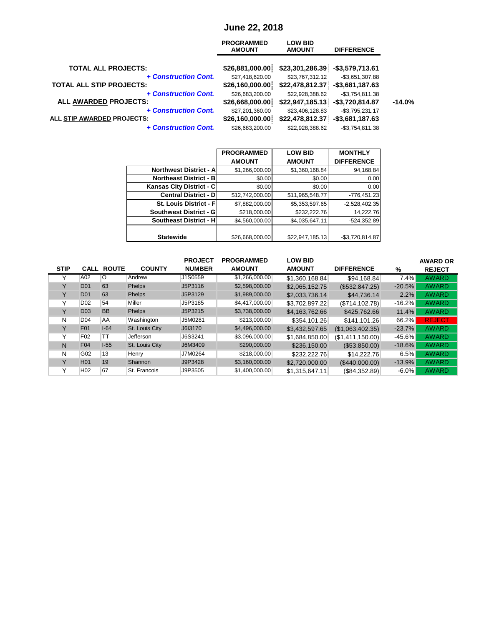### **June 22, 2018**

|                                 | <b>PROGRAMMED</b><br><b>AMOUNT</b> | <b>LOW BID</b><br><b>AMOUNT</b> | <b>DIFFERENCE</b> |          |
|---------------------------------|------------------------------------|---------------------------------|-------------------|----------|
| <b>TOTAL ALL PROJECTS:</b>      | \$26,881,000.00                    | \$23,301,286.39                 | $-$3,579,713.61$  |          |
| + Construction Cont.            | \$27,418,620.00                    | \$23,767,312.12                 | $-$3,651,307.88$  |          |
| <b>TOTAL ALL STIP PROJECTS:</b> | \$26,160,000.00                    | \$22,478,812.37                 | $-$3,681,187.63$  |          |
| + Construction Cont.            | \$26,683,200.00                    | \$22,928,388.62                 | $-$3,754,811.38$  |          |
| ALL AWARDED PROJECTS:           | \$26,668,000.00                    | \$22,947,185.13                 | $-$3,720,814.87$  | $-14.0%$ |
| + Construction Cont.            | \$27,201,360.00                    | \$23,406,128.83                 | $-$3,795,231.17$  |          |
| ALL STIP AWARDED PROJECTS:      | \$26,160,000.00                    | \$22,478,812.37                 | $-$3,681,187.63$  |          |
| + Construction Cont.            | \$26,683,200.00                    | \$22,928,388.62                 | $-$3,754,811.38$  |          |

|                                 | <b>PROGRAMMED</b> | <b>LOW BID</b>  | <b>MONTHLY</b>    |
|---------------------------------|-------------------|-----------------|-------------------|
|                                 | <b>AMOUNT</b>     | <b>AMOUNT</b>   | <b>DIFFERENCE</b> |
| <b>Northwest District - All</b> | \$1,266,000.00    | \$1,360,168.84  | 94,168.84         |
| <b>Northeast District - B</b>   | \$0.00            | \$0.00          | 0.00              |
| Kansas City District - C        | \$0.00            | \$0.00          | 0.00              |
| <b>Central District - D</b>     | \$12,742,000.00   | \$11,965,548.77 | -776,451.23       |
| <b>St. Louis District - Fl</b>  | \$7,882,000.00    | \$5,353,597.65  | $-2,528,402.35$   |
| <b>Southwest District - GI</b>  | \$218,000.00      | \$232,222.76    | 14,222.76         |
| <b>Southeast District - H</b>   | \$4,560,000.00    | \$4,035,647.11  | $-524,352.89$     |
|                                 |                   |                 |                   |
| <b>Statewide</b>                | \$26,668,000.00   | \$22,947,185.13 | $-$3,720,814.87$  |

|              |                 |                   |                | <b>PROJECT</b> | <b>PROGRAMMED</b> | <b>LOW BID</b> |                   |          | <b>AWARD OR</b> |
|--------------|-----------------|-------------------|----------------|----------------|-------------------|----------------|-------------------|----------|-----------------|
| <b>STIP</b>  |                 | <b>CALL ROUTE</b> | <b>COUNTY</b>  | <b>NUMBER</b>  | <b>AMOUNT</b>     | <b>AMOUNT</b>  | <b>DIFFERENCE</b> | %        | <b>REJECT</b>   |
|              | A02             | O                 | Andrew         | J1S0559        | \$1,266,000.00    | \$1,360,168.84 | \$94,168.84       | 7.4%     | <b>AWARD</b>    |
| v            | <b>D01</b>      | 63                | <b>Phelps</b>  | J5P3116        | \$2,598,000.00    | \$2,065,152.75 | (\$532,847.25)    | $-20.5%$ | <b>AWARD</b>    |
| Y            | D <sub>01</sub> | 63                | <b>Phelps</b>  | J5P3129        | \$1,989,000.00    | \$2,033,736.14 | \$44,736.14       | 2.2%     | <b>AWARD</b>    |
|              | D <sub>02</sub> | 54                | Miller         | J5P3185        | \$4,417,000.00    | \$3,702,897.22 | (S714, 102.78)    | $-16.2%$ | <b>AWARD</b>    |
| $\vee$       | D <sub>03</sub> | <b>BB</b>         | <b>Phelps</b>  | J5P3215        | \$3,738,000.00    | \$4,163,762.66 | \$425,762.66      | 11.4%    | <b>AWARD</b>    |
| N            | D <sub>04</sub> | AA                | Washington     | J5M0281        | \$213,000.00      | \$354,101.26   | \$141,101.26      | 66.2%    | <b>REJECT</b>   |
| v            | <b>F01</b>      | $I-64$            | St. Louis City | J6I3170        | \$4,496,000.00    | \$3,432,597.65 | (\$1,063,402.35)  | $-23.7%$ | <b>AWARD</b>    |
| $\checkmark$ | F <sub>02</sub> | TT                | Jefferson      | J6S3241        | \$3,096,000.00    | \$1,684,850.00 | (S1, 411, 150.00) | $-45.6%$ | <b>AWARD</b>    |
| N            | F04             | $I-55$            | St. Louis City | J6M3409        | \$290,000.00      | \$236,150.00   | (\$53,850.00)     | $-18.6%$ | <b>AWARD</b>    |
| N            | G02             | 13                | Henry          | J7M0264        | \$218,000.00      | \$232,222,76   | \$14,222.76       | 6.5%     | <b>AWARD</b>    |
| $\vee$       | H <sub>01</sub> | 19                | Shannon        | J9P3428        | \$3,160,000.00    | \$2,720,000.00 | (\$440,000.00)    | $-13.9%$ | <b>AWARD</b>    |
|              | H <sub>02</sub> | 67                | St. Francois   | J9P3505        | \$1,400,000.00    | \$1.315.647.11 | (S84.352.89)      | $-6.0\%$ | <b>AWARD</b>    |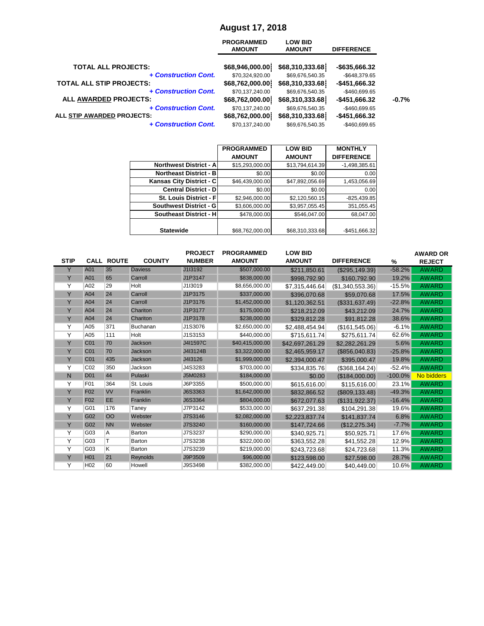# **August 17, 2018**

|                                                           | <b>PROGRAMMED</b><br><b>AMOUNT</b> | <b>LOW BID</b><br><b>AMOUNT</b>    | <b>DIFFERENCE</b>               |         |
|-----------------------------------------------------------|------------------------------------|------------------------------------|---------------------------------|---------|
| <b>TOTAL ALL PROJECTS:</b>                                | \$68,946,000.00                    | \$68,310,333.68                    | -\$635,666.32                   |         |
| + Construction Cont.                                      | \$70,324,920.00                    | \$69,676,540.35                    | -\$648.379.65                   |         |
| <b>TOTAL ALL STIP PROJECTS:</b>                           | \$68,762,000.00                    | \$68,310,333.68                    | -\$451,666.32                   |         |
| + Construction Cont.<br>ALL AWARDED PROJECTS:             | \$70,137,240.00<br>\$68,762,000.00 | \$69,676,540.35<br>\$68,310,333.68 | $-$460,699.65$<br>-\$451,666.32 | $-0.7%$ |
| + Construction Cont.<br><b>ALL STIP AWARDED PROJECTS:</b> | \$70,137,240.00                    | \$69,676,540.35                    | $-$460,699.65$                  |         |
|                                                           | \$68,762,000.00                    | \$68,310,333.68                    | -\$451,666.32                   |         |
| + Construction Cont.                                      | \$70.137.240.00                    | \$69,676,540.35                    | -\$460.699.65                   |         |

|                                | <b>PROGRAMMED</b> | <b>LOW BID</b>  | <b>MONTHLY</b>    |
|--------------------------------|-------------------|-----------------|-------------------|
|                                | <b>AMOUNT</b>     | <b>AMOUNT</b>   | <b>DIFFERENCE</b> |
| <b>Northwest District - Al</b> | \$15,293,000.00   | \$13,794,614.39 | $-1,498,385.61$   |
| <b>Northeast District - BI</b> | \$0.00            | \$0.00          | 0.00              |
| Kansas City District - C       | \$46,439,000.00   | \$47,892,056.69 | 1,453,056.69      |
| <b>Central District - DI</b>   | \$0.00            | \$0.00          | 0.00              |
| St. Louis District - Fl        | \$2,946,000.00    | \$2,120,560.15  | $-825,439.85$     |
| Southwest District - G         | \$3,606,000.00    | \$3,957,055.45  | 351,055.45        |
| <b>Southeast District - HI</b> | \$478,000.00      | \$546.047.00    | 68.047.00         |
|                                |                   |                 |                   |
| <b>Statewide</b>               | \$68,762,000.00   | \$68,310,333.68 | $-$451,666.32$    |

|             |                 |                   |                | <b>PROJECT</b> | <b>PROGRAMMED</b> | <b>LOW BID</b>  |                   |           | <b>AWARD OR</b>   |
|-------------|-----------------|-------------------|----------------|----------------|-------------------|-----------------|-------------------|-----------|-------------------|
| <b>STIP</b> |                 | <b>CALL ROUTE</b> | <b>COUNTY</b>  | <b>NUMBER</b>  | <b>AMOUNT</b>     | <b>AMOUNT</b>   | <b>DIFFERENCE</b> | %         | <b>REJECT</b>     |
| Y           | A01             | 35                | <b>Daviess</b> | J1I3192        | \$507,000.00      | \$211,850.61    | (\$295,149.39)    | $-58.2%$  | <b>AWARD</b>      |
| Y           | A01             | 65                | Carroll        | J1P3147        | \$838,000.00      | \$998,792.90    | \$160,792.90      | 19.2%     | <b>AWARD</b>      |
| Y           | A02             | 29                | Holt           | J1I3019        | \$8,656,000.00    | \$7,315,446.64  | (S1, 340, 553.36) | $-15.5%$  | <b>AWARD</b>      |
| Y           | A04             | 24                | Carroll        | J1P3175        | \$337,000.00      | \$396.070.68    | \$59,070.68       | 17.5%     | <b>AWARD</b>      |
| Y           | A04             | 24                | Carroll        | J1P3176        | \$1,452,000.00    | \$1,120,362.51  | (\$331,637.49)    | $-22.8%$  | <b>AWARD</b>      |
| Y           | A04             | 24                | Chariton       | J1P3177        | \$175,000.00      | \$218,212.09    | \$43.212.09       | 24.7%     | <b>AWARD</b>      |
| Y           | A04             | 24                | Chariton       | J1P3178        | \$238,000.00      | \$329,812.28    | \$91,812.28       | 38.6%     | <b>AWARD</b>      |
| Υ           | A05             | 371               | Buchanan       | J1S3076        | \$2,650,000.00    | \$2,488,454.94  | (\$161,545.06)    | $-6.1%$   | <b>AWARD</b>      |
| Υ           | A05             | 111               | Holt           | J1S3153        | \$440,000.00      | \$715,611.74    | \$275,611.74      | 62.6%     | <b>AWARD</b>      |
| Y           | C <sub>01</sub> | 70                | Jackson        | J4I1597C       | \$40,415,000.00   | \$42,697,261.29 | \$2,282,261.29    | 5.6%      | <b>AWARD</b>      |
| Y           | C <sub>01</sub> | 70                | Jackson        | J4I3124B       | \$3,322,000.00    | \$2,465,959.17  | (\$856,040.83)    | $-25.8%$  | <b>AWARD</b>      |
| Y           | C <sub>01</sub> | 435               | Jackson        | J4I3126        | \$1,999,000.00    | \$2.394.000.47  | \$395,000.47      | 19.8%     | <b>AWARD</b>      |
| Υ           | CO <sub>2</sub> | 350               | Jackson        | J4S3283        | \$703,000.00      | \$334,835.76    | (S368.164.24)     | $-52.4%$  | <b>AWARD</b>      |
| N           | <b>D01</b>      | 44                | Pulaski        | J5M0283        | \$184,000.00      | \$0.00          | (\$184,000.00)    | $-100.0%$ | <b>No bidders</b> |
| Y           | F01             | 364               | St. Louis      | J6P3355        | \$500,000.00      | \$615,616.00    | \$115,616.00      | 23.1%     | <b>AWARD</b>      |
| Y           | F <sub>02</sub> | <b>VV</b>         | Franklin       | J6S3363        | \$1,642,000.00    | \$832,866.52    | (\$809, 133.48)   | $-49.3%$  | <b>AWARD</b>      |
| Y           | F <sub>02</sub> | <b>EE</b>         | Franklin       | J6S3364        | \$804,000.00      | \$672,077.63    | (\$131,922.37)    | $-16.4%$  | <b>AWARD</b>      |
| Y           | G01             | 176               | Taney          | J7P3142        | \$533,000.00      | \$637,291.38    | \$104,291.38      | 19.6%     | <b>AWARD</b>      |
| Y           | G02             | OO                | Webster        | J7S3146        | \$2,082,000.00    | \$2,223,837,74  | \$141,837,74      | 6.8%      | <b>AWARD</b>      |
| Y           | G02             | <b>NN</b>         | Webster        | J7S3240        | \$160,000.00      | \$147,724.66    | (\$12,275.34)     | $-7.7%$   | <b>AWARD</b>      |
| Y           | G03             | A                 | Barton         | J7S3237        | \$290,000.00      | \$340.925.71    | \$50.925.71       | 17.6%     | <b>AWARD</b>      |
| Υ           | G03             | т                 | Barton         | J7S3238        | \$322,000.00      | \$363,552.28    | \$41,552.28       | 12.9%     | <b>AWARD</b>      |
| Υ           | G03             | K                 | Barton         | J7S3239        | \$219,000.00      | \$243,723.68    | \$24,723.68       | 11.3%     | <b>AWARD</b>      |
| Y           | <b>H01</b>      | 21                | Reynolds       | J9P3509        | \$96,000.00       | \$123,598.00    | \$27,598.00       | 28.7%     | <b>AWARD</b>      |
| Υ           | H <sub>02</sub> | 60                | Howell         | J9S3498        | \$382,000.00      | \$422,449.00    | \$40,449.00       | 10.6%     | <b>AWARD</b>      |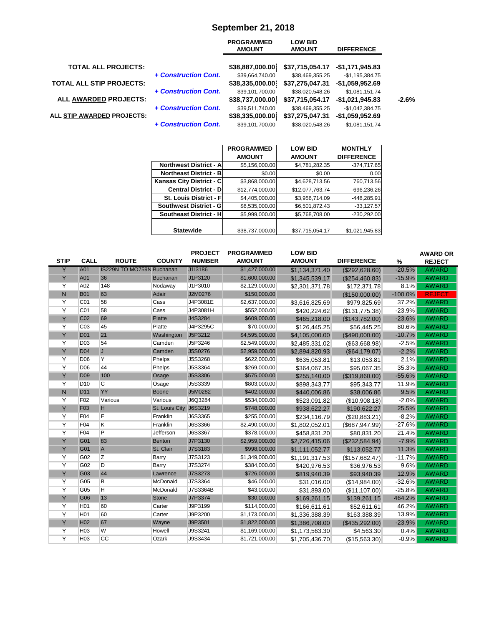|                                 |                      | <b>PROGRAMMED</b><br><b>AMOUNT</b> | <b>LOW BID</b><br><b>AMOUNT</b>    | <b>DIFFERENCE</b>                    |
|---------------------------------|----------------------|------------------------------------|------------------------------------|--------------------------------------|
| <b>TOTAL ALL PROJECTS:</b>      |                      | \$38,887,000.00                    | \$37,715,054.17                    | -\$1,171,945.83                      |
| <b>TOTAL ALL STIP PROJECTS:</b> | + Construction Cont. | \$39,664,740.00<br>\$38,335,000.00 | \$38,469,355.25<br>\$37,275,047.31 | $-$1,195,384.75$<br>-\$1,059,952.69  |
| <b>ALL AWARDED PROJECTS:</b>    | + Construction Cont. | \$39,101,700.00<br>\$38,737,000.00 | \$38,020,548.26<br>\$37,715,054.17 | $-$1,081,151.74$<br>$-$1,021,945.83$ |
| ALL STIP AWARDED PROJECTS:      | + Construction Cont. | \$39,511,740.00<br>\$38,335,000.00 | \$38,469,355.25<br>\$37,275,047.31 | $-$1,042,384.75$<br>$-$1,059,952.69$ |
|                                 | + Construction Cont. | \$39,101,700.00                    | \$38,020,548.26                    | $-$1,081,151.74$                     |

# **September 21, 2018**

|                                 | <b>PROGRAMMED</b> | <b>LOW BID</b>  | <b>MONTHLY</b>    |
|---------------------------------|-------------------|-----------------|-------------------|
|                                 | <b>AMOUNT</b>     | <b>AMOUNT</b>   | <b>DIFFERENCE</b> |
| <b>Northwest District - All</b> | \$5,156,000.00    | \$4,781,282.35  | $-374,717.65$     |
| <b>Northeast District - BI</b>  | \$0.00            | \$0.00          | 0.00              |
| Kansas City District - C        | \$3,868,000.00    | \$4,628,713.56  | 760,713.56        |
| <b>Central District - D</b>     | \$12,774,000.00   | \$12,077,763.74 | $-696,236.26$     |
| St. Louis District - Fl         | \$4,405,000.00    | \$3,956,714.09  | $-448,285.91$     |
| <b>Southwest District - G</b>   | \$6,535,000.00    | \$6,501,872.43  | $-33,127.57$      |
| <b>Southeast District - HI</b>  | \$5,999,000.00    | \$5,768,708.00  | $-230,292.00$     |
|                                 |                   |                 |                   |
| <b>Statewide</b>                | \$38,737,000.00   | \$37,715,054.17 | $-$1,021,945.83$  |

|                |                 |                                  |                 | <b>PROJECT</b> | <b>PROGRAMMED</b> | <b>LOW BID</b> |                   |           | <b>AWARD OR</b> |
|----------------|-----------------|----------------------------------|-----------------|----------------|-------------------|----------------|-------------------|-----------|-----------------|
| <b>STIP</b>    | <b>CALL</b>     | <b>ROUTE</b>                     | <b>COUNTY</b>   | <b>NUMBER</b>  | <b>AMOUNT</b>     | <b>AMOUNT</b>  | <b>DIFFERENCE</b> | %         | <b>REJECT</b>   |
| Y              | A01             | <b>IS229N TO MO759N Buchanan</b> |                 | J1I3186        | \$1,427,000.00    | \$1,134,371.40 | (\$292,628.60)    | $-20.5%$  | <b>AWARD</b>    |
| Y              | A01             | 36                               | <b>Buchanan</b> | J1P3120        | \$1,600,000.00    | \$1,345,539.17 | (\$254,460.83)    | $-15.9%$  | <b>AWARD</b>    |
| Y              | A02             | 148                              | Nodaway         | J1P3010        | \$2,129,000.00    | \$2,301,371.78 | \$172,371.78      | 8.1%      | <b>AWARD</b>    |
| $\mathsf{N}$   | <b>B01</b>      | 63                               | Adair           | J2M0276        | \$150,000.00      |                | (\$150,000.00)    | $-100.0%$ | <b>REJECT</b>   |
| Y              | C <sub>01</sub> | 58                               | Cass            | J4P3081E       | \$2,637,000.00    | \$3,616,825.69 | \$979,825.69      | 37.2%     | <b>AWARD</b>    |
| $\overline{Y}$ | CO <sub>1</sub> | 58                               | Cass            | J4P3081H       | \$552,000.00      | \$420,224.62   | (\$131,775.38)    | $-23.9%$  | <b>AWARD</b>    |
| Y              | C <sub>02</sub> | 69                               | <b>Platte</b>   | J4S3284        | \$609,000.00      | \$465,218.00   | (\$143,782.00)    | $-23.6%$  | <b>AWARD</b>    |
| $\overline{Y}$ | CO <sub>3</sub> | 45                               | Platte          | J4P3295C       | \$70,000.00       | \$126,445.25   | \$56,445.25       | 80.6%     | <b>AWARD</b>    |
| Y              | <b>D01</b>      | 21                               | Washington      | J5P3212        | \$4,595,000.00    | \$4,105,000.00 | (\$490,000.00)    | $-10.7%$  | <b>AWARD</b>    |
| Y              | <b>D03</b>      | 54                               | Camden          | J5P3246        | \$2,549,000.00    | \$2,485,331.02 | (\$63,668.98)     | $-2.5%$   | <b>AWARD</b>    |
| Y              | <b>D04</b>      | J                                | Camden          | J5S0276        | \$2,959,000.00    | \$2,894,820.93 | (\$64,179.07)     | $-2.2%$   | <b>AWARD</b>    |
| Y              | D <sub>06</sub> | Υ                                | Phelps          | J5S3268        | \$622,000.00      | \$635,053.81   | \$13,053.81       | 2.1%      | <b>AWARD</b>    |
| Y              | <b>D06</b>      | 44                               | Phelps          | J5S3364        | \$269,000.00      | \$364,067.35   | \$95,067.35       | 35.3%     | <b>AWARD</b>    |
| Y              | <b>D09</b>      | 100                              | Osage           | J5S3306        | \$575,000.00      | \$255,140.00   | (\$319,860.00)    | $-55.6%$  | <b>AWARD</b>    |
| Y              | D <sub>10</sub> | C                                | Osage           | <b>J5S3339</b> | \$803,000.00      | \$898,343.77   | \$95,343.77       | 11.9%     | <b>AWARD</b>    |
| $\mathsf{N}$   | D <sub>11</sub> | YY                               | <b>Boone</b>    | J5M0282        | \$402,000.00      | \$440,006.86   | \$38,006.86       | 9.5%      | <b>AWARD</b>    |
| Y              | F02             | Various                          | Various         | J6Q3284        | \$534,000.00      | \$523,091.82   | (\$10,908.18)     | $-2.0%$   | <b>AWARD</b>    |
| Y              | F <sub>03</sub> | H                                | St. Louis City  | J6S3219        | \$748,000.00      | \$938,622.27   | \$190,622.27      | 25.5%     | <b>AWARD</b>    |
| Y              | F04             | E                                | Franklin        | J6S3365        | \$255,000.00      | \$234,116.79   | (\$20,883.21)     | $-8.2%$   | <b>AWARD</b>    |
| $\overline{Y}$ | F04             | Κ                                | Franklin        | J6S3366        | \$2,490,000.00    | \$1,802,052.01 | (\$687,947.99)    | $-27.6%$  | <b>AWARD</b>    |
| $\overline{Y}$ | F04             | P                                | Jefferson       | J6S3367        | \$378,000.00      | \$458,831.20   | \$80,831.20       | 21.4%     | <b>AWARD</b>    |
| Y              | G01             | 83                               | <b>Benton</b>   | J7P3130        | \$2,959,000.00    | \$2,726,415.06 | (\$232,584.94)    | $-7.9%$   | <b>AWARD</b>    |
| Y              | G01             | $\overline{A}$                   | St. Clair       | J7S3183        | \$998,000.00      | \$1,111,052.77 | \$113,052.77      | 11.3%     | <b>AWARD</b>    |
| Y              | G02             | Z                                | Barry           | J7S3123        | \$1,349,000.00    | \$1,191,317.53 | (\$157,682.47)    | $-11.7%$  | <b>AWARD</b>    |
| Y              | G02             | D                                | Barry           | J7S3274        | \$384,000.00      | \$420,976.53   | \$36,976.53       | 9.6%      | <b>AWARD</b>    |
| Y              | G03             | 44                               | Lawrence        | J7S3273        | \$726,000.00      | \$819,940.39   | \$93,940.39       | 12.9%     | <b>AWARD</b>    |
| Y              | G05             | В                                | McDonald        | J7S3364        | \$46,000.00       | \$31,016.00    | (\$14,984.00)     | $-32.6%$  | <b>AWARD</b>    |
| Y              | G05             | H                                | McDonald        | J7S3364B       | \$43,000.00       | \$31,893.00    | (\$11,107.00)     | $-25.8%$  | <b>AWARD</b>    |
| Y              | G06             | 13                               | <b>Stone</b>    | J7P3374        | \$30,000.00       | \$169,261.15   | \$139,261.15      | 464.2%    | <b>AWARD</b>    |
| Y              | H <sub>01</sub> | 60                               | Carter          | J9P3199        | \$114,000.00      | \$166,611.61   | \$52,611.61       | 46.2%     | <b>AWARD</b>    |
| Y              | H <sub>01</sub> | 60                               | Carter          | J9P3200        | \$1,173,000.00    | \$1,336,388.39 | \$163,388.39      | 13.9%     | <b>AWARD</b>    |
| Y              | H <sub>02</sub> | 67                               | Wayne           | J9P3501        | \$1,822,000.00    | \$1,386,708.00 | (\$435,292.00)    | $-23.9%$  | <b>AWARD</b>    |
| Y              | H <sub>03</sub> | W                                | Howell          | J9S3241        | \$1,169,000.00    | \$1,173,563.30 | \$4,563.30        | 0.4%      | <b>AWARD</b>    |
| Y              | H <sub>03</sub> | CC                               | Ozark           | J9S3434        | \$1,721,000.00    | \$1.705.436.70 | (S15.563.30)      | $-0.9%$   | <b>AWARD</b>    |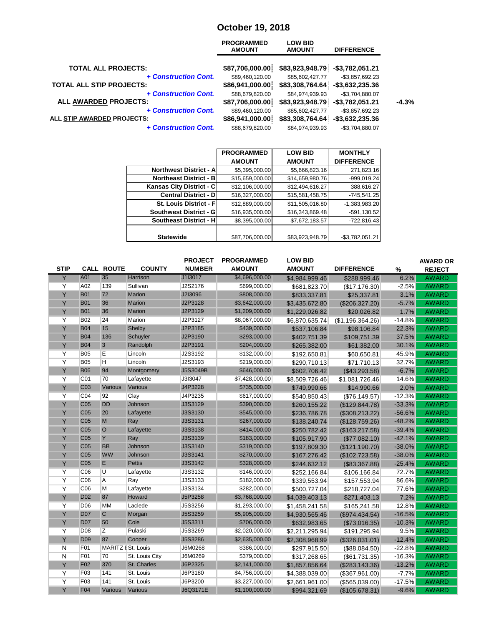### **October 19, 2018**

| <b>AMOUNT</b>   | <b>LOW BID</b><br><b>AMOUNT</b>                                                                                                      | <b>DIFFERENCE</b>  |                                                                                             |
|-----------------|--------------------------------------------------------------------------------------------------------------------------------------|--------------------|---------------------------------------------------------------------------------------------|
|                 |                                                                                                                                      |                    |                                                                                             |
| \$89,460,120.00 | \$85,602,427.77                                                                                                                      | $-$3,857,692.23$   |                                                                                             |
| \$86,941,000.00 |                                                                                                                                      | $-$ \$3,632,235.36 |                                                                                             |
| \$88,679,820.00 | \$84,974,939.93                                                                                                                      | -\$3,704,880.07    |                                                                                             |
| \$87,706,000.00 |                                                                                                                                      | $-$3,782,051.21$   | $-4.3%$                                                                                     |
| \$89,460,120.00 | \$85,602,427.77                                                                                                                      | $-$3,857,692.23$   |                                                                                             |
| \$86,941,000.00 |                                                                                                                                      | $-$ \$3,632,235.36 |                                                                                             |
| \$88,679,820.00 | \$84,974,939.93                                                                                                                      | -\$3,704,880.07    |                                                                                             |
|                 | <b>PROGRAMMED</b><br>\$87,706,000.00<br>+ Construction Cont.<br>+ Construction Cont.<br>+ Construction Cont.<br>+ Construction Cont. |                    | \$83,923,948.79<br>-\$3,782,051.21<br>\$83,308,764.64<br>\$83,923,948.79<br>\$83,308,764.64 |

|                                | <b>PROGRAMMED</b> | <b>LOW BID</b>  | <b>MONTHLY</b>    |
|--------------------------------|-------------------|-----------------|-------------------|
|                                | <b>AMOUNT</b>     | <b>AMOUNT</b>   | <b>DIFFERENCE</b> |
| <b>Northwest District - Al</b> | \$5,395,000.00    | \$5,666,823.16  | 271,823.16        |
| <b>Northeast District - B</b>  | \$15,659,000.00   | \$14,659,980.76 | -999,019.24       |
| Kansas City District - C       | \$12,106,000.00   | \$12,494,616.27 | 388,616.27        |
| <b>Central District - D</b>    | \$16,327,000.00   | \$15,581,458.75 | $-745,541.25$     |
| <b>St. Louis District - Fl</b> | \$12,889,000.00   | \$11,505,016.80 | -1,383,983.20     |
| <b>Southwest District - GI</b> | \$16,935,000.00   | \$16,343,869.48 | $-591, 130.52$    |
| <b>Southeast District - H</b>  | \$8,395,000.00    | \$7,672,183.57  | -722,816.43       |
|                                |                   |                 |                   |
| <b>Statewide</b>               | \$87,706,000.00   | \$83,923,948.79 | $-$3,782,051.21$  |

| <b>STIP</b>    |                 | <b>CALL ROUTE</b>  | <b>COUNTY</b>  | <b>PROJECT</b><br><b>NUMBER</b> | <b>PROGRAMMED</b><br><b>AMOUNT</b> | <b>LOW BID</b><br><b>AMOUNT</b> | <b>DIFFERENCE</b> | $\%$     | <b>AWARD OR</b><br><b>REJECT</b> |
|----------------|-----------------|--------------------|----------------|---------------------------------|------------------------------------|---------------------------------|-------------------|----------|----------------------------------|
| Y              | A01             | 35                 | Harrison       | J1I3017                         | \$4,696,000.00                     | \$4,984,999.46                  | \$288,999.46      | 6.2%     | <b>AWARD</b>                     |
| $\overline{Y}$ | A02             | 139                | Sullivan       | J2S2176                         | \$699,000.00                       | \$681,823.70                    | (\$17,176.30)     | $-2.5%$  | <b>AWARD</b>                     |
| Y              | <b>B01</b>      | 72                 | <b>Marion</b>  | J2I3096                         | \$808,000.00                       | \$833,337.81                    | \$25,337.81       | 3.1%     | <b>AWARD</b>                     |
| Y              | <b>B01</b>      | 36                 | <b>Marion</b>  | J2P3128                         | \$3,642,000.00                     | \$3,435,672.80                  | (\$206,327.20)    | $-5.7%$  | <b>AWARD</b>                     |
| Y              | <b>B01</b>      | 36                 | <b>Marion</b>  | J2P3129                         | \$1,209,000.00                     | \$1,229,026.82                  | \$20,026.82       | 1.7%     | <b>AWARD</b>                     |
| Y              | <b>B02</b>      | 24                 | Marion         | J2P3127                         | \$8,067,000.00                     | \$6,870,635.74                  | (\$1,196,364.26)  | $-14.8%$ | <b>AWARD</b>                     |
| Y              | <b>B04</b>      | 15                 | Shelby         | J2P3185                         | \$439,000.00                       | \$537,106.84                    | \$98,106.84       | 22.3%    | <b>AWARD</b>                     |
| Y              | <b>B04</b>      | 136                | Schuyler       | J2P3190                         | \$293,000.00                       | \$402,751.39                    | \$109,751.39      | 37.5%    | <b>AWARD</b>                     |
| Y              | <b>B04</b>      | $\overline{3}$     | Randolph       | J2P3191                         | \$204,000.00                       | \$265,382.00                    | \$61,382.00       | 30.1%    | <b>AWARD</b>                     |
| Y              | <b>B05</b>      | E                  | Lincoln        | J2S3192                         | \$132,000.00                       | \$192,650.81                    | \$60,650.81       | 45.9%    | <b>AWARD</b>                     |
| Y              | <b>B05</b>      | н                  | Lincoln        | J2S3193                         | \$219,000.00                       | \$290,710.13                    | \$71,710.13       | 32.7%    | <b>AWARD</b>                     |
| Y              | <b>B06</b>      | 94                 | Montgomery     | J5S3049B                        | \$646,000.00                       | \$602,706.42                    | (\$43,293.58)     | $-6.7%$  | <b>AWARD</b>                     |
| Y              | C01             | 70                 | Lafayette      | J3I3047                         | \$7,428,000.00                     | \$8,509,726.46                  | \$1,081,726.46    | 14.6%    | <b>AWARD</b>                     |
| Υ              | C <sub>03</sub> | Various            | Various        | J4P3228                         | \$735,000.00                       | \$749,990.66                    | \$14,990.66       | 2.0%     | <b>AWARD</b>                     |
| Y              | CO <sub>4</sub> | 92                 | Clay           | J4P3235                         | \$617,000.00                       | \$540,850.43                    | (S76, 149.57)     | $-12.3%$ | <b>AWARD</b>                     |
| Y              | C <sub>05</sub> | <b>DD</b>          | Johnson        | J3S3129                         | \$390,000.00                       | \$260,155.22                    | (\$129, 844.78)   | $-33.3%$ | <b>AWARD</b>                     |
| Y              | C <sub>05</sub> | 20                 | Lafayette      | J3S3130                         | \$545,000.00                       | \$236,786.78                    | (\$308, 213.22)   | $-56.6%$ | <b>AWARD</b>                     |
| Y              | C <sub>05</sub> | M                  | Ray            | J3S3131                         | \$267,000.00                       | \$138,240.74                    | (\$128,759.26)    | $-48.2%$ | <b>AWARD</b>                     |
| Y              | C <sub>05</sub> | $\circ$            | Lafayette      | J3S3138                         | \$414,000.00                       | \$250,782.42                    | (\$163, 217.58)   | $-39.4%$ | <b>AWARD</b>                     |
| Y              | C <sub>05</sub> | Y                  | Ray            | J3S3139                         | \$183,000.00                       | \$105,917.90                    | (\$77,082.10)     | $-42.1%$ | <b>AWARD</b>                     |
| Y              | C <sub>05</sub> | <b>BB</b>          | Johnson        | J3S3140                         | \$319,000.00                       | \$197,809.30                    | (\$121,190.70)    | $-38.0%$ | <b>AWARD</b>                     |
| Y              | C <sub>05</sub> | <b>WW</b>          | Johnson        | J3S3141                         | \$270,000.00                       | \$167,276.42                    | (\$102, 723.58)   | $-38.0%$ | <b>AWARD</b>                     |
| Y              | C <sub>05</sub> | E                  | <b>Pettis</b>  | J3S3142                         | \$328,000.00                       | \$244,632.12                    | (\$83,367.88)     | $-25.4%$ | <b>AWARD</b>                     |
| Y              | CO6             | U                  | Lafayette      | J3S3132                         | \$146,000.00                       | \$252,166.84                    | \$106,166.84      | 72.7%    | <b>AWARD</b>                     |
| $\overline{Y}$ | C <sub>06</sub> | Α                  | Ray            | J3S3133                         | \$182,000.00                       | \$339,553.94                    | \$157,553.94      | 86.6%    | <b>AWARD</b>                     |
| Y              | C <sub>06</sub> | M                  | Lafayette      | J3S3134                         | \$282,000.00                       | \$500,727.04                    | \$218,727.04      | 77.6%    | <b>AWARD</b>                     |
| Y              | D <sub>02</sub> | 87                 | Howard         | J5P3258                         | \$3,768,000.00                     | \$4,039,403.13                  | \$271,403.13      | 7.2%     | <b>AWARD</b>                     |
| Y              | D06             | <b>MM</b>          | Laclede        | J5S3256                         | \$1,293,000.00                     | \$1,458,241.58                  | \$165,241.58      | 12.8%    | <b>AWARD</b>                     |
| Y              | <b>D07</b>      | $\overline{C}$     | Morgan         | J5S3259                         | \$5,905,000.00                     | \$4,930,565.46                  | (\$974,434.54)    | $-16.5%$ | <b>AWARD</b>                     |
| Y              | <b>D07</b>      | 50                 | Cole           | J5S3311                         | \$706,000.00                       | \$632,983.65                    | (\$73,016.35)     | $-10.3%$ | <b>AWARD</b>                     |
| Y              | D <sub>08</sub> | Z                  | Pulaski        | J5S3269                         | \$2,020,000.00                     | \$2,211,295.94                  | \$191,295.94      | 9.5%     | <b>AWARD</b>                     |
| Y              | D <sub>09</sub> | 87                 | Cooper         | <b>J5S3286</b>                  | \$2,635,000.00                     | \$2,308,968.99                  | (\$326,031.01)    | $-12.4%$ | <b>AWARD</b>                     |
| N              | F01             | MARITZ I St. Louis |                | J6M0268                         | \$386,000.00                       | \$297,915.50                    | (\$88,084.50)     | $-22.8%$ | <b>AWARD</b>                     |
| N              | F01             | 70                 | St. Louis City | J6M0269                         | \$379,000.00                       | \$317,268.65                    | (\$61,731.35)     | $-16.3%$ | <b>AWARD</b>                     |
| Y              | F <sub>02</sub> | 370                | St. Charles    | J6P2325                         | \$2,141,000.00                     | \$1,857,856.64                  | (\$283, 143.36)   | $-13.2%$ | <b>AWARD</b>                     |
| $\overline{Y}$ | F03             | 141                | St. Louis      | J6P3180                         | \$4,756,000.00                     | \$4,388,039.00                  | (\$367,961.00)    | $-7.7%$  | <b>AWARD</b>                     |
| Y              | F03             | 141                | St. Louis      | J6P3200                         | \$3,227,000.00                     | \$2,661,961.00                  | (\$565,039.00)    | $-17.5%$ | AWARD                            |
| Y              | F04             | <b>Various</b>     | Various        | J6Q3171E                        | \$1,100,000.00                     | \$994,321.69                    | (\$105,678.31)    | $-9.6%$  | <b>AWARD</b>                     |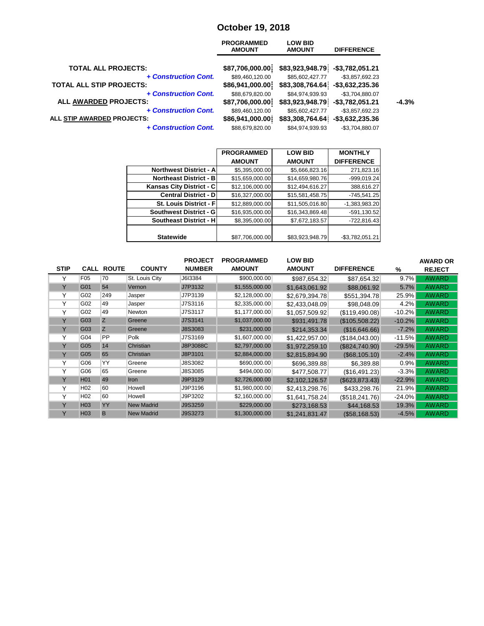### **October 19, 2018**

| <b>AMOUNT</b>   | <b>LOW BID</b><br><b>AMOUNT</b>                                                                                                      | <b>DIFFERENCE</b>  |                                                                                             |
|-----------------|--------------------------------------------------------------------------------------------------------------------------------------|--------------------|---------------------------------------------------------------------------------------------|
|                 |                                                                                                                                      |                    |                                                                                             |
| \$89,460,120.00 | \$85,602,427.77                                                                                                                      | $-$3,857,692.23$   |                                                                                             |
| \$86,941,000.00 |                                                                                                                                      | $-$ \$3,632,235.36 |                                                                                             |
| \$88,679,820.00 | \$84,974,939.93                                                                                                                      | -\$3,704,880.07    |                                                                                             |
| \$87,706,000.00 |                                                                                                                                      | $-$3,782,051.21$   | $-4.3%$                                                                                     |
| \$89,460,120.00 | \$85,602,427.77                                                                                                                      | $-$3,857,692.23$   |                                                                                             |
| \$86,941,000.00 |                                                                                                                                      | $-$ \$3,632,235.36 |                                                                                             |
| \$88,679,820.00 | \$84,974,939.93                                                                                                                      | -\$3,704,880.07    |                                                                                             |
|                 | <b>PROGRAMMED</b><br>\$87,706,000.00<br>+ Construction Cont.<br>+ Construction Cont.<br>+ Construction Cont.<br>+ Construction Cont. |                    | \$83,923,948.79<br>-\$3,782,051.21<br>\$83,308,764.64<br>\$83,923,948.79<br>\$83,308,764.64 |

|                                 | <b>PROGRAMMED</b> | <b>LOW BID</b>  | <b>MONTHLY</b>    |
|---------------------------------|-------------------|-----------------|-------------------|
|                                 | <b>AMOUNT</b>     | <b>AMOUNT</b>   | <b>DIFFERENCE</b> |
| <b>Northwest District - All</b> | \$5,395,000.00    | \$5,666,823.16  | 271,823.16        |
| <b>Northeast District - B</b>   | \$15,659,000.00   | \$14,659,980.76 | -999,019.24       |
| Kansas City District - C        | \$12,106,000.00   | \$12,494,616.27 | 388,616.27        |
| <b>Central District - DI</b>    | \$16,327,000.00   | \$15,581,458.75 | $-745,541.25$     |
| <b>St. Louis District - Fl</b>  | \$12,889,000.00   | \$11,505,016.80 | $-1,383,983.20$   |
| <b>Southwest District - GI</b>  | \$16,935,000.00   | \$16,343,869.48 | $-591, 130.52$    |
| <b>Southeast District - H</b>   | \$8,395,000.00    | \$7,672,183.57  | -722,816.43       |
|                                 |                   |                 |                   |
| <b>Statewide</b>                | \$87,706,000.00   | \$83,923,948.79 | $-$3,782,051.21$  |

|              |                 |                   |                   | <b>PROJECT</b>  | <b>PROGRAMMED</b> | <b>LOW BID</b> |                   |          | <b>AWARD OR</b> |
|--------------|-----------------|-------------------|-------------------|-----------------|-------------------|----------------|-------------------|----------|-----------------|
| <b>STIP</b>  |                 | <b>CALL ROUTE</b> | <b>COUNTY</b>     | <b>NUMBER</b>   | <b>AMOUNT</b>     | <b>AMOUNT</b>  | <b>DIFFERENCE</b> | %        | <b>REJECT</b>   |
| Y            | F <sub>05</sub> | 70                | St. Louis City    | J6I3384         | \$900,000.00      | \$987,654.32   | \$87,654.32       | 9.7%     | <b>AWARD</b>    |
| Y            | G01             | 54                | Vernon            | J7P3132         | \$1,555,000.00    | \$1.643.061.92 | \$88,061.92       | 5.7%     | <b>AWARD</b>    |
| Υ            | G02             | 249               | Jasper            | J7P3139         | \$2,128,000.00    | \$2,679,394.78 | \$551,394.78      | 25.9%    | <b>AWARD</b>    |
| Υ            | G02             | 49                | Jasper            | J7S3116         | \$2,335,000.00    | \$2.433.048.09 | \$98,048.09       | 4.2%     | <b>AWARD</b>    |
| Υ            | G02             | 49                | Newton            | J7S3117         | \$1,177,000.00    | \$1,057,509.92 | (S119, 490.08)    | $-10.2%$ | <b>AWARD</b>    |
| Y            | G03             | Z                 | Greene            | J7S3141         | \$1,037,000.00    | \$931.491.78   | (\$105,508.22)    | $-10.2%$ | <b>AWARD</b>    |
| Y            | G03             | Z                 | Greene            | J8S3083         | \$231,000.00      | \$214,353.34   | (\$16,646.66)     | $-7.2%$  | <b>AWARD</b>    |
| $\checkmark$ | G04             | PP                | Polk              | J7S3169         | \$1,607,000.00    | \$1,422,957.00 | (\$184,043.00)    | $-11.5%$ | <b>AWARD</b>    |
| v            | G05             | 14                | Christian         | <b>J8P3088C</b> | \$2,797,000.00    | \$1,972,259.10 | (\$824,740.90)    | $-29.5%$ | <b>AWARD</b>    |
| Y            | G05             | 65                | Christian         | J8P3101         | \$2,884,000.00    | \$2,815,894.90 | (S68, 105.10)     | $-2.4%$  | <b>AWARD</b>    |
| Υ            | G06             | YY                | Greene            | J8S3082         | \$690,000.00      | \$696,389.88   | \$6,389.88        | 0.9%     | <b>AWARD</b>    |
| $\checkmark$ | G06             | 65                | Greene            | J8S3085         | \$494,000.00      | \$477.508.77   | (S16, 491.23)     | $-3.3%$  | <b>AWARD</b>    |
| Y            | H <sub>01</sub> | 49                | <b>Iron</b>       | J9P3129         | \$2,726,000.00    | \$2,102,126.57 | (S623, 873.43)    | $-22.9%$ | <b>AWARD</b>    |
| Υ            | H <sub>02</sub> | 60                | Howell            | J9P3196         | \$1,980,000.00    | \$2,413,298.76 | \$433,298.76      | 21.9%    | <b>AWARD</b>    |
| Υ            | H <sub>02</sub> | 60                | Howell            | J9P3202         | \$2,160,000.00    | \$1,641,758.24 | (S518, 241.76)    | $-24.0%$ | <b>AWARD</b>    |
| Y            | H <sub>03</sub> | YY                | <b>New Madrid</b> | J9S3259         | \$229,000.00      | \$273,168.53   | \$44,168.53       | 19.3%    | <b>AWARD</b>    |
| Y            | H <sub>03</sub> | B                 | <b>New Madrid</b> | J9S3273         | \$1,300,000.00    | \$1,241,831.47 | (\$58,168.53)     | $-4.5%$  | <b>AWARD</b>    |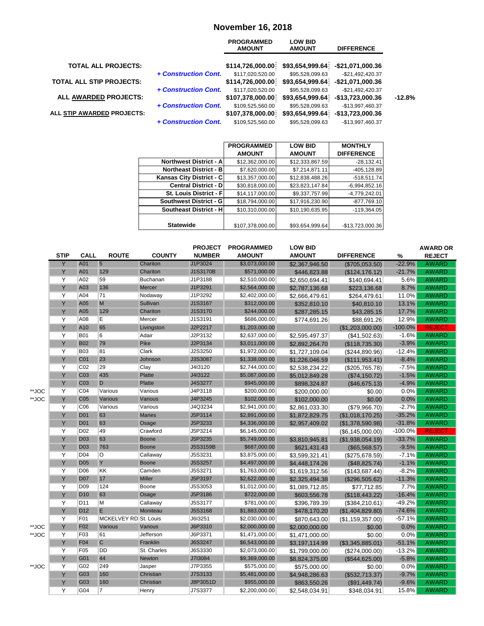#### **November 16, 2018**

|                                 |                      | <b>PROGRAMMED</b><br><b>AMOUNT</b> | <b>LOW BID</b><br><b>AMOUNT</b> | <b>DIFFERENCE</b> |          |
|---------------------------------|----------------------|------------------------------------|---------------------------------|-------------------|----------|
| <b>TOTAL ALL PROJECTS:</b>      |                      | \$114,726,000.00                   | \$93,654,999.64                 | -\$21,071,000.36  |          |
|                                 | + Construction Cont. | \$117,020,520.00                   | \$95,528,099.63                 | $-$21,492,420.37$ |          |
| <b>TOTAL ALL STIP PROJECTS:</b> |                      | \$114,726,000.00                   | \$93,654,999.64                 | -\$21,071,000.36  |          |
|                                 | + Construction Cont. | \$117,020,520.00                   | \$95,528,099.63                 | $-$21,492,420.37$ |          |
| ALL AWARDED PROJECTS:           |                      | \$107,378,000.00                   | \$93,654,999.64                 | -\$13,723,000.36  | $-12.8%$ |
|                                 | + Construction Cont. | \$109,525,560.00                   | \$95,528,099.63                 | -\$13,997,460.37  |          |
| ALL STIP AWARDED PROJECTS:      |                      | \$107,378,000.00                   | \$93,654,999.64                 | -\$13,723,000.36  |          |
|                                 | + Construction Cont. | \$109,525,560.00                   | \$95,528,099.63                 | -\$13,997,460.37  |          |

|                                | <b>PROGRAMMED</b> | <b>LOW BID</b>  | <b>MONTHLY</b>    |
|--------------------------------|-------------------|-----------------|-------------------|
|                                | <b>AMOUNT</b>     | <b>AMOUNT</b>   | <b>DIFFERENCE</b> |
| Northwest District - A         | \$12,362,000.00   | \$12,333,867.59 | $-28,132.41$      |
| <b>Northeast District - BI</b> | \$7,620,000.00    | \$7,214,871.11  | $-405, 128.89$    |
| Kansas City District - C       | \$13,357,000.00   | \$12,838,488.26 | $-518,511.74$     |
| <b>Central District - DI</b>   | \$30.818.000.00   | \$23,823,147.84 | $-6,994,852.16$   |
| <b>St. Louis District - Fl</b> | \$14,117,000.00   | \$9,337,757.99  | $-4,779,242.01$   |
| Southwest District - G         | \$18,794,000.00   | \$17,916,230.90 | $-877,769.10$     |
| Southeast District - H         | \$10,310,000.00   | \$10,190,635.95 | $-119,364.05$     |
|                                |                   |                 |                   |
| <b>Statewide</b>               | \$107,378,000.00  | \$93,654,999.64 | -\$13,723,000.36  |

|       |             |                 |                       |               | <b>PROJECT</b> | <b>PROGRAMMED</b> | <b>LOW BID</b> |                    |           | <b>AWARD OR</b> |
|-------|-------------|-----------------|-----------------------|---------------|----------------|-------------------|----------------|--------------------|-----------|-----------------|
|       | <b>STIP</b> | <b>CALL</b>     | <b>ROUTE</b>          | <b>COUNTY</b> | <b>NUMBER</b>  | <b>AMOUNT</b>     | <b>AMOUNT</b>  | <b>DIFFERENCE</b>  | $\%$      | <b>REJECT</b>   |
|       | Y           | A01             | 5                     | Chariton      | J1P3024        | \$3,073,000.00    | \$2,367,946.50 | (\$705,053.50)     | $-22.9%$  | AWARD           |
|       | Y           | A01             | 129                   | Chariton      | J1S3170B       | \$571,000.00      | \$446,823.88   | (\$124, 176.12)    | $-21.7%$  | AWARD           |
|       | Y           | A02             | 59                    | Buchanan      | J1P3188        | \$2,510,000.00    | \$2,650,694.41 | \$140,694.41       | 5.6%      | <b>AWARD</b>    |
|       | Y           | A03             | 136                   | <b>Mercer</b> | J1P3291        | \$2,564,000.00    | \$2,787,136.68 | \$223,136.68       | 8.7%      | <b>AWARD</b>    |
|       | Y           | A04             | 71                    | Nodaway       | J1P3292        | \$2,402,000.00    | \$2,666,479.61 | \$264,479.61       | 11.0%     | <b>AWARD</b>    |
|       | Y           | A05             | M                     | Sullivan      | J1S3167        | \$312,000.00      | \$352,810.10   | \$40,810.10        | 13.1%     | <b>AWARD</b>    |
|       | Y           | A05             | 129                   | Chariton      | J1S3170        | \$244,000.00      | \$287,285.15   | \$43,285.15        | 17.7%     | <b>AWARD</b>    |
|       | Y           | A08             | E                     | Mercer        | J1S3191        | \$686,000.00      | \$774,691.26   | \$88,691.26        | 12.9%     | <b>AWARD</b>    |
|       | Y           | A10             | 65                    | Livingston    | J2P2217        | \$1,203,000.00    |                | (\$1,203,000.00)   | $-100.0%$ | <b>REJECT</b>   |
|       | Y           | <b>B01</b>      | 6                     | Adair         | J2P3132        | \$2,637,000.00    | \$2,595,497.37 | (\$41,502.63)      | $-1.6%$   | <b>AWARD</b>    |
|       | Y           | <b>B02</b>      | 79                    | Pike          | J2P3134        | \$3,011,000.00    | \$2,892,264.70 | (\$118,735.30)     | $-3.9%$   | <b>AWARD</b>    |
|       | Y           | <b>B03</b>      | 81                    | Clark         | J2S3250        | \$1,972,000.00    | \$1,727,109.04 | (\$244,890.96)     | $-12.4%$  | <b>AWARD</b>    |
|       | Y           | C01             | 23                    | Johnson       | J3S3087        | \$1,338,000.00    | \$1,226,046.59 | (\$111,953.41)     | $-8.4%$   | <b>AWARD</b>    |
|       | Y           | C <sub>02</sub> | 29                    | Clay          | J4I3120        | \$2,744,000.00    | \$2,538,234.22 | (\$205,765.78)     | $-7.5%$   | <b>AWARD</b>    |
|       | Y           | C <sub>03</sub> | 435                   | Platte        | J4I3122        | \$5,087,000.00    | \$5,012,849.28 | (\$74,150.72)      | $-1.5%$   | <b>AWARD</b>    |
|       | Y           | C <sub>03</sub> | D                     | Platte        | J4S3277        | \$945,000.00      | \$898,324.87   | (\$46,675.13)      | $-4.9%$   | <b>AWARD</b>    |
| **JOC | Y           | C04             | Various               | Various       | J4P3118        | \$200,000.00      | \$200,000.00   | \$0.00             | 0.0%      | <b>AWARD</b>    |
| **JOC | Y           | C <sub>05</sub> | Various               | Various       | J4P3245        | \$102,000.00      | \$102,000.00   | \$0.00             | 0.0%      | <b>AWARD</b>    |
|       | Y           | C06             | Various               | Various       | J4Q3234        | \$2,941,000.00    | \$2,861,033.30 | (\$79,966.70)      | $-2.7%$   | <b>AWARD</b>    |
|       | Y           | <b>D01</b>      | 63                    | <b>Maries</b> | J5P3114        | \$2,891,000.00    | \$1,872,829.75 | (\$1,018,170.25)   | $-35.2%$  | <b>AWARD</b>    |
|       | Y           | <b>D01</b>      | 63                    | Osage         | J5P3233        | \$4,336,000.00    | \$2,957,409.02 | (\$1,378,590.98)   | $-31.8%$  | <b>AWARD</b>    |
|       | Y           | D <sub>02</sub> | 49                    | Crawford      | J5P3214        | \$6,145,000.00    |                | (\$6, 145, 000.00) | $-100.0%$ | <b>REJECT</b>   |
|       | Y           | <b>D03</b>      | 63                    | <b>Boone</b>  | J5P3235        | \$5,749,000.00    | \$3,810,945.81 | (\$1,938,054.19)   | $-33.7%$  | <b>AWARD</b>    |
|       | Y           | <b>D03</b>      | 763                   | <b>Boone</b>  | J5S3159B       | \$687,000.00      | \$621,431.43   | (\$65,568.57)      | $-9.5%$   | <b>AWARD</b>    |
|       | Y           | D <sub>04</sub> | O                     | Callaway      | J5S3231        | \$3,875,000.00    | \$3,599,321.41 | (\$275,678.59)     | $-7.1%$   | <b>AWARD</b>    |
|       | Y           | <b>D05</b>      | Y                     | <b>Boone</b>  | J5S3257        | \$4,497,000.00    | \$4,448,174.26 | (\$48,825.74)      | $-1.1%$   | <b>AWARD</b>    |
|       | Y           | D <sub>06</sub> | KK                    | Camden        | J5S3271        | \$1,763,000.00    | \$1,619,312.56 | (\$143,687.44)     | $-8.2%$   | <b>AWARD</b>    |
|       | Y           | <b>D07</b>      | 17                    | <b>Miller</b> | J5P3197        | \$2,622,000.00    | \$2,325,494.38 | (\$296,505.62)     | $-11.3%$  | <b>AWARD</b>    |
|       | Y           | D <sub>09</sub> | 124                   | Boone         | J5S3053        | \$1,012,000.00    | \$1,089,712.85 | \$77,712.85        | 7.7%      | <b>AWARD</b>    |
|       | Y           | D <sub>10</sub> | 63                    | Osage         | J5P3186        | \$722,000.00      | \$603,556.78   | (\$118,443.22)     | $-16.4%$  | <b>AWARD</b>    |
|       | Y           | D <sub>11</sub> | M                     | Callaway      | J5S3177        | \$781,000.00      | \$396,789.39   | (\$384,210.61)     | $-49.2%$  | <b>AWARD</b>    |
|       | Y           | D <sub>12</sub> | E                     | Moniteau      | <b>J5S3168</b> | \$1,883,000.00    | \$478,170.20   | (\$1,404,829.80)   | $-74.6%$  | <b>AWARD</b>    |
|       | Y           | F01             | MCKELVEY RD St. Louis |               | J6I3251        | \$2,030,000.00    | \$870,643.00   | (\$1,159,357.00)   | $-57.1%$  | <b>AWARD</b>    |
| **JOC | Y           | F <sub>02</sub> | Various               | Various       | J6P3310        | \$2,000,000.00    | \$2,000,000.00 | \$0.00             | 0.0%      | <b>AWARD</b>    |
| **JOC | Y           | F03             | 61                    | Jefferson     | J6P3371        | \$1,471,000.00    | \$1,471,000.00 | \$0.00             | 0.0%      | <b>AWARD</b>    |
|       | Y           | F04             | $\mathsf{C}$          | Franklin      | J6S3247        | \$6,543,000.00    | \$3,197,114.99 | (\$3,345,885.01)   | $-51.1%$  | <b>AWARD</b>    |
|       | Y           | F <sub>05</sub> | DD                    | St. Charles   | J6S3330        | \$2,073,000.00    | \$1,799,000.00 | (\$274,000.00)     | $-13.2%$  | <b>AWARD</b>    |
|       | Y           | G01             | 44                    | Newton        | J7I3084        | \$9,369,000.00    | \$8,824,375.00 | (\$544, 625.00)    | $-5.8%$   | <b>AWARD</b>    |
| **JOC | Y           | G02             | 249                   | Jasper        | J7P3355        | \$575,000.00      | \$575,000.00   | \$0.00             | 0.0%      | <b>AWARD</b>    |
|       | Y           | G03             | 160                   | Christian     | J7S3133        | \$5,481,000.00    | \$4,948,286.63 | (\$532,713.37)     | $-9.7%$   | <b>AWARD</b>    |
|       | Y           | G03             | 160                   | Christian     | J8P3051D       | \$955,000.00      | \$863,550.26   | (\$91,449.74)      | $-9.6%$   | <b>AWARD</b>    |
|       | Y           | G04             | $\overline{7}$        | Henry         | J7S3377        | \$2,200,000.00    | \$2,548,034.91 | \$348,034.91       | 15.8%     | <b>AWARD</b>    |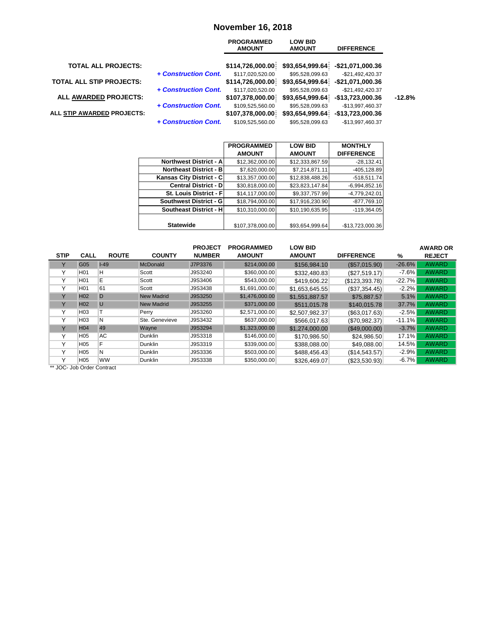#### **November 16, 2018**

|                                 |                      | <b>PROGRAMMED</b><br><b>AMOUNT</b> | <b>LOW BID</b><br><b>AMOUNT</b> | <b>DIFFERENCE</b> |          |
|---------------------------------|----------------------|------------------------------------|---------------------------------|-------------------|----------|
| <b>TOTAL ALL PROJECTS:</b>      |                      | \$114,726,000.00                   | \$93,654,999.64                 | -\$21,071,000.36  |          |
|                                 | + Construction Cont. | \$117,020,520.00                   | \$95,528,099.63                 | $-$21,492,420.37$ |          |
| <b>TOTAL ALL STIP PROJECTS:</b> |                      | \$114,726,000.00                   | \$93,654,999.64                 | -\$21,071,000.36  |          |
|                                 | + Construction Cont. | \$117,020,520.00                   | \$95,528,099.63                 | $-$21,492,420.37$ |          |
| ALL AWARDED PROJECTS:           |                      | \$107,378,000.00                   | \$93,654,999.64                 | -\$13,723,000.36  | $-12.8%$ |
|                                 | + Construction Cont. | \$109,525,560.00                   | \$95,528,099.63                 | -\$13,997,460.37  |          |
| ALL STIP AWARDED PROJECTS:      |                      | \$107,378,000.00                   | \$93,654,999.64                 | -\$13,723,000.36  |          |
|                                 | + Construction Cont. | \$109,525,560.00                   | \$95.528.099.63                 | -\$13,997,460.37  |          |

|                                 | <b>PROGRAMMED</b> | <b>LOW BID</b>  | <b>MONTHLY</b>    |
|---------------------------------|-------------------|-----------------|-------------------|
|                                 | <b>AMOUNT</b>     | <b>AMOUNT</b>   | <b>DIFFERENCE</b> |
| <b>Northwest District - All</b> | \$12,362,000.00   | \$12,333,867.59 | $-28,132.41$      |
| <b>Northeast District - BI</b>  | \$7,620,000.00    | \$7,214,871.11  | $-405, 128.89$    |
| Kansas City District - C        | \$13,357,000.00   | \$12,838,488.26 | $-518,511.74$     |
| <b>Central District - DI</b>    | \$30,818,000.00   | \$23,823,147.84 | $-6,994,852.16$   |
| St. Louis District - Fl         | \$14,117,000.00   | \$9,337,757.99  | $-4,779,242.01$   |
| Southwest District - G          | \$18,794,000.00   | \$17,916,230.90 | $-877,769.10$     |
| <b>Southeast District - HI</b>  | \$10,310,000.00   | \$10,190,635.95 | $-119,364.05$     |
|                                 |                   |                 |                   |
| <b>Statewide</b>                | \$107,378,000.00  | \$93,654,999.64 | -\$13,723,000.36  |

|              |                                     |              |                   | <b>PROJECT</b> | <b>PROGRAMMED</b> | <b>LOW BID</b> |                   |          | <b>AWARD OR</b> |
|--------------|-------------------------------------|--------------|-------------------|----------------|-------------------|----------------|-------------------|----------|-----------------|
| <b>STIP</b>  | <b>CALL</b>                         | <b>ROUTE</b> | <b>COUNTY</b>     | <b>NUMBER</b>  | <b>AMOUNT</b>     | <b>AMOUNT</b>  | <b>DIFFERENCE</b> | %        | <b>REJECT</b>   |
| Υ            | G05                                 | $I-49$       | <b>McDonald</b>   | J7P3376        | \$214,000.00      | \$156,984.10   | (S57.015.90)      | $-26.6%$ | <b>AWARD</b>    |
| Υ            | H <sub>01</sub>                     | н            | Scott             | J9S3240        | \$360,000.00      | \$332,480.83   | (S27, 519.17)     | $-7.6%$  | <b>AWARD</b>    |
| Υ            | H <sub>01</sub>                     | Ε            | Scott             | J9S3406        | \$543,000.00      | \$419,606.22   | (\$123,393.78)    | $-22.7%$ | <b>AWARD</b>    |
| $\checkmark$ | H <sub>01</sub>                     | 61           | Scott             | J9S3438        | \$1,691,000.00    | \$1.653.645.55 | (\$37,354.45)     | $-2.2%$  | <b>AWARD</b>    |
| Y            | H <sub>02</sub>                     | D            | <b>New Madrid</b> | J9S3250        | \$1,476,000.00    | \$1.551.887.57 | \$75,887.57       | 5.1%     | <b>AWARD</b>    |
| Y            | H <sub>02</sub>                     | U            | <b>New Madrid</b> | J9S3255        | \$371,000.00      | \$511.015.78   | \$140,015.78      | 37.7%    | <b>AWARD</b>    |
| $\checkmark$ | H <sub>03</sub>                     |              | Perry             | J9S3260        | \$2,571,000.00    | \$2,507,982.37 | (S63, 017.63)     | $-2.5%$  | <b>AWARD</b>    |
| v            | H <sub>03</sub>                     | N            | Ste. Genevieve    | J9S3432        | \$637,000.00      | \$566.017.63   | (\$70,982.37)     | $-11.1%$ | <b>AWARD</b>    |
| Y            | H <sub>04</sub>                     | 49           | Wayne             | J9S3294        | \$1,323,000.00    | \$1,274,000,00 | (\$49,000.00)     | $-3.7%$  | <b>AWARD</b>    |
| ٧            | H <sub>05</sub>                     | AC           | <b>Dunklin</b>    | J9S3318        | \$146,000.00      | \$170.986.50   | \$24,986.50       | 17.1%    | <b>AWARD</b>    |
| $\checkmark$ | H <sub>05</sub>                     | E            | Dunklin           | J9S3319        | \$339,000.00      | \$388,088.00   | \$49,088.00       | 14.5%    | <b>AWARD</b>    |
| $\checkmark$ | H <sub>05</sub>                     | N            | <b>Dunklin</b>    | J9S3336        | \$503,000.00      | \$488,456.43   | (\$14,543.57)     | $-2.9%$  | <b>AWARD</b>    |
| $\checkmark$ | H <sub>05</sub>                     | ww           | Dunklin           | J9S3338        | \$350,000.00      | \$326,469.07   | (\$23,530.93)     | $-6.7\%$ | <b>AWARD</b>    |
| $\cdots$     | $1 - 1 - 2 - 3 - 5 - 2 - 1 - 5 - 5$ |              |                   |                |                   |                |                   |          |                 |

JOC- Job Order Contract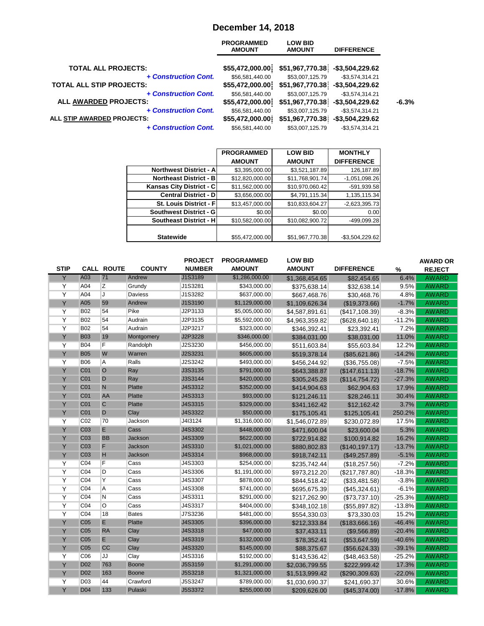### **December 14, 2018**

| <b>PROGRAMMED</b><br><b>AMOUNT</b> | <b>LOW BID</b><br><b>AMOUNT</b> | <b>DIFFERENCE</b>  |                                                                                              |
|------------------------------------|---------------------------------|--------------------|----------------------------------------------------------------------------------------------|
|                                    |                                 |                    |                                                                                              |
| \$56,581,440.00                    | \$53,007,125.79                 | $-$3,574,314.21$   |                                                                                              |
| \$55,472,000.00                    |                                 | $-$ \$3,504,229.62 |                                                                                              |
| \$56,581,440.00                    | \$53,007,125.79                 | $-$3,574,314.21$   |                                                                                              |
| \$55,472,000.00                    |                                 | $-$ \$3,504,229.62 | $-6.3%$                                                                                      |
| \$56,581,440.00                    | \$53,007,125.79                 | $-$3,574,314.21$   |                                                                                              |
| \$55,472,000.00                    |                                 | $-$ \$3,504,229.62 |                                                                                              |
| \$56,581,440.00                    | \$53,007,125.79                 | $-$3,574,314.21$   |                                                                                              |
|                                    | \$55,472,000.00                 |                    | \$51,967,770.38]<br>-\$3,504,229.62<br>\$51,967,770.38<br>\$51,967,770.38<br>\$51,967,770.38 |

|                                 | <b>PROGRAMMED</b> | <b>LOW BID</b>  | <b>MONTHLY</b>    |
|---------------------------------|-------------------|-----------------|-------------------|
|                                 | <b>AMOUNT</b>     | <b>AMOUNT</b>   | <b>DIFFERENCE</b> |
| <b>Northwest District - All</b> | \$3,395,000.00    | \$3,521,187.89  | 126,187.89        |
| <b>Northeast District - B</b>   | \$12,820,000.00   | \$11,768,901.74 | $-1,051,098.26$   |
| Kansas City District - C        | \$11,562,000.00   | \$10,970,060.42 | -591,939.58       |
| <b>Central District - D</b>     | \$3,656,000.00    | \$4,791,115.34  | 1,135,115.34      |
| <b>St. Louis District - Fl</b>  | \$13,457,000.00   | \$10,833,604.27 | $-2,623,395.73$   |
| Southwest District - G          | \$0.00            | \$0.00          | 0.00              |
| <b>Southeast District - H</b>   | \$10,582,000.00   | \$10,082,900.72 | -499,099.28       |
|                                 |                   |                 |                   |
| <b>Statewide</b>                | \$55,472,000.00   | \$51,967,770.38 | $-$3,504,229.62$  |

| <b>STIP</b>    |                 | <b>CALL ROUTE</b> | <b>COUNTY</b> | <b>PROJECT</b><br><b>NUMBER</b> | <b>PROGRAMMED</b><br><b>AMOUNT</b> | <b>LOW BID</b><br><b>AMOUNT</b> | <b>DIFFERENCE</b> | $\%$     | <b>AWARD OR</b><br><b>REJECT</b> |
|----------------|-----------------|-------------------|---------------|---------------------------------|------------------------------------|---------------------------------|-------------------|----------|----------------------------------|
| Y              | A03             | 71                | Andrew        | J1S3189                         | \$1,286,000.00                     | \$1,368,454.65                  | \$82,454.65       | 6.4%     | <b>AWARD</b>                     |
| Y              | A04             | Z                 | Grundy        | J1S3281                         | \$343,000.00                       | \$375,638.14                    | \$32,638.14       | 9.5%     | <b>AWARD</b>                     |
| $\overline{Y}$ | A04             | J                 | Daviess       | J1S3282                         | \$637,000.00                       | \$667,468.76                    | \$30,468.76       | 4.8%     | <b>AWARD</b>                     |
| Y              | A05             | 59                | Andrew        | J1S3190                         | \$1,129,000.00                     | \$1,109,626.34                  | (\$19,373.66)     | $-1.7%$  | <b>AWARD</b>                     |
| $\overline{Y}$ | <b>B02</b>      | 54                | Pike          | J2P3133                         | \$5,005,000.00                     | \$4,587,891.61                  | (\$417,108.39)    | $-8.3%$  | <b>AWARD</b>                     |
| Y              | <b>B02</b>      | 54                | Audrain       | J2P3135                         | \$5,592,000.00                     | \$4,963,359.82                  | (\$628, 640.18)   | $-11.2%$ | <b>AWARD</b>                     |
| Y              | <b>B02</b>      | 54                | Audrain       | J2P3217                         | \$323,000.00                       | \$346,392.41                    | \$23,392.41       | 7.2%     | <b>AWARD</b>                     |
| Y              | <b>B03</b>      | 19                | Montgomery    | J2P3228                         | \$346,000.00                       | \$384,031.00                    | \$38,031.00       | 11.0%    | <b>AWARD</b>                     |
| Y              | <b>B04</b>      | F                 | Randolph      | J2S3230                         | \$456,000.00                       | \$511,603.84                    | \$55,603.84       | 12.2%    | <b>AWARD</b>                     |
| Y              | <b>B05</b>      | W                 | Warren        | J2S3231                         | \$605,000.00                       | \$519,378.14                    | (\$85,621.86)     | $-14.2%$ | <b>AWARD</b>                     |
| $\overline{Y}$ | <b>B06</b>      | Α                 | Ralls         | J2S3242                         | \$493,000.00                       | \$456,244.92                    | (\$36,755.08)     | $-7.5%$  | <b>AWARD</b>                     |
| Y              | CO <sub>1</sub> | $\circ$           | Ray           | J3S3135                         | \$791,000.00                       | \$643,388.87                    | (\$147,611.13)    | $-18.7%$ | <b>AWARD</b>                     |
| Y              | CO <sub>1</sub> | D                 | Ray           | J3S3144                         | \$420,000.00                       | \$305,245.28                    | (\$114,754.72)    | $-27.3%$ | <b>AWARD</b>                     |
| Y              | C <sub>01</sub> | $\overline{N}$    | <b>Platte</b> | J4S3312                         | \$352,000.00                       | \$414,904.63                    | \$62,904.63       | 17.9%    | <b>AWARD</b>                     |
| Y              | C <sub>01</sub> | AA                | <b>Platte</b> | J4S3313                         | \$93,000.00                        | \$121,246.11                    | \$28,246.11       | 30.4%    | <b>AWARD</b>                     |
| Y              | CO <sub>1</sub> | $\mathsf{C}$      | <b>Platte</b> | J4S3315                         | \$329,000.00                       | \$341,162.42                    | \$12,162.42       | 3.7%     | <b>AWARD</b>                     |
| Y              | C <sub>01</sub> | D                 | Clay          | J4S3322                         | \$50,000.00                        | \$175,105.41                    | \$125,105.41      | 250.2%   | <b>AWARD</b>                     |
| $\overline{Y}$ | CO <sub>2</sub> | 70                | Jackson       | J4I3124                         | \$1,316,000.00                     | \$1,546,072.89                  | \$230,072.89      | 17.5%    | <b>AWARD</b>                     |
| Y              | C <sub>03</sub> | E                 | Cass          | J4S3302                         | \$448,000.00                       | \$471,600.04                    | \$23,600.04       | 5.3%     | <b>AWARD</b>                     |
| Y              | C <sub>03</sub> | <b>BB</b>         | Jackson       | J4S3309                         | \$622,000.00                       | \$722,914.82                    | \$100,914.82      | 16.2%    | <b>AWARD</b>                     |
| Y              | C <sub>03</sub> | F                 | Jackson       | J4S3310                         | \$1,021,000.00                     | \$880,802.83                    | (\$140, 197.17)   | $-13.7%$ | <b>AWARD</b>                     |
| Y              | C <sub>03</sub> | H                 | Jackson       | J4S3314                         | \$968,000.00                       | \$918,742.11                    | (\$49,257.89)     | $-5.1%$  | <b>AWARD</b>                     |
| Y              | CO <sub>4</sub> | F                 | Cass          | J4S3303                         | \$254,000.00                       | \$235,742.44                    | (\$18,257.56)     | $-7.2%$  | <b>AWARD</b>                     |
| Y              | CO <sub>4</sub> | D                 | Cass          | J4S3306                         | \$1,191,000.00                     | \$973,212.20                    | (\$217,787.80)    | $-18.3%$ | <b>AWARD</b>                     |
| $\overline{Y}$ | CO <sub>4</sub> | Y                 | Cass          | J4S3307                         | \$878,000.00                       | \$844,518.42                    | (\$33,481.58)     | $-3.8%$  | <b>AWARD</b>                     |
| $\overline{Y}$ | CO <sub>4</sub> | A                 | Cass          | J4S3308                         | \$741,000.00                       | \$695,675.39                    | (\$45,324.61)     | $-6.1%$  | <b>AWARD</b>                     |
| Y              | CO <sub>4</sub> | N                 | Cass          | J4S3311                         | \$291,000.00                       | \$217,262.90                    | (\$73,737.10)     | $-25.3%$ | <b>AWARD</b>                     |
| Y              | CO <sub>4</sub> | O                 | Cass          | J4S3317                         | \$404,000.00                       | \$348,102.18                    | (\$55,897.82)     | $-13.8%$ | <b>AWARD</b>                     |
| Y              | CO <sub>4</sub> | 18                | <b>Bates</b>  | J7S3236                         | \$481,000.00                       | \$554,330.03                    | \$73,330.03       | 15.2%    | <b>AWARD</b>                     |
| Y              | C <sub>05</sub> | E                 | <b>Platte</b> | J4S3305                         | \$396,000.00                       | \$212,333.84                    | (\$183,666.16)    | $-46.4%$ | <b>AWARD</b>                     |
| Y              | C <sub>05</sub> | <b>RA</b>         | Clay          | J4S3318                         | \$47,000.00                        | \$37,433.11                     | (\$9,566.89)      | $-20.4%$ | <b>AWARD</b>                     |
| Y              | C <sub>05</sub> | E                 | Clay          | J4S3319                         | \$132,000.00                       | \$78,352.41                     | (\$53,647.59)     | $-40.6%$ | <b>AWARD</b>                     |
| Y              | C <sub>05</sub> | cc                | Clay          | J4S3320                         | \$145,000.00                       | \$88,375.67                     | (\$56,624.33)     | $-39.1%$ | <b>AWARD</b>                     |
| $\overline{Y}$ | CO6             | JJ                | Clay          | J4S3316                         | \$192,000.00                       | \$143,536.42                    | (\$48,463.58)     | $-25.2%$ | <b>AWARD</b>                     |
| Y              | D <sub>02</sub> | 763               | <b>Boone</b>  | J5S3159                         | \$1,291,000.00                     | \$2,036,799.55                  | \$222,999.42      | 17.3%    | <b>AWARD</b>                     |
| Y              | <b>D02</b>      | 163               | <b>Boone</b>  | J5S3218                         | \$1,321,000.00                     | \$1,513,999.42                  | (\$290,309.63)    | $-22.0%$ | <b>AWARD</b>                     |
| Y              | D <sub>03</sub> | 44                | Crawford      | J5S3247                         | \$789,000.00                       | \$1,030,690.37                  | \$241,690.37      | 30.6%    | AWARD                            |
| Y              | <b>D04</b>      | 133               | Pulaski       | J5S3372                         | \$255,000.00                       | \$209,626.00                    | (\$45,374.00)     | $-17.8%$ | <b>AWARD</b>                     |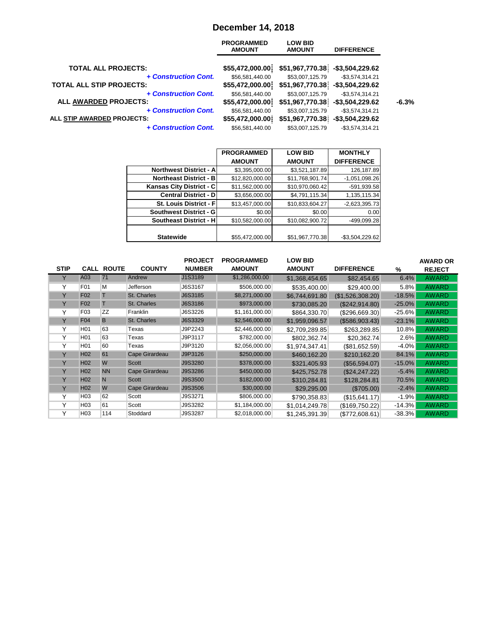# **December 14, 2018**

| <b>PROGRAMMED</b><br><b>AMOUNT</b> | <b>LOW BID</b><br><b>AMOUNT</b> | <b>DIFFERENCE</b>  |                                                                                              |
|------------------------------------|---------------------------------|--------------------|----------------------------------------------------------------------------------------------|
|                                    |                                 |                    |                                                                                              |
| \$56,581,440.00                    | \$53,007,125.79                 | $-$3,574,314.21$   |                                                                                              |
| \$55,472,000.00                    |                                 | $-$ \$3,504,229.62 |                                                                                              |
| \$56,581,440.00                    | \$53,007,125.79                 | $-$3,574,314.21$   |                                                                                              |
| \$55,472,000.00                    |                                 | $-$ \$3,504,229.62 | $-6.3%$                                                                                      |
| \$56,581,440.00                    | \$53,007,125.79                 | $-$3,574,314.21$   |                                                                                              |
| \$55,472,000.00                    |                                 | $-$ \$3,504,229.62 |                                                                                              |
| \$56,581,440.00                    | \$53,007,125.79                 | $-$3,574,314.21$   |                                                                                              |
|                                    | \$55,472,000.00                 |                    | \$51,967,770.38]<br>-\$3,504,229.62<br>\$51,967,770.38<br>\$51,967,770.38<br>\$51,967,770.38 |

|                                 | <b>PROGRAMMED</b> | <b>LOW BID</b>  | <b>MONTHLY</b>    |
|---------------------------------|-------------------|-----------------|-------------------|
|                                 | <b>AMOUNT</b>     | <b>AMOUNT</b>   | <b>DIFFERENCE</b> |
| <b>Northwest District - All</b> | \$3,395,000.00    | \$3,521,187.89  | 126,187.89        |
| <b>Northeast District - B</b>   | \$12,820,000.00   | \$11,768,901.74 | $-1,051,098.26$   |
| Kansas City District - C        | \$11,562,000.00   | \$10,970,060.42 | -591,939.58       |
| <b>Central District - D</b>     | \$3,656,000.00    | \$4,791,115.34  | 1,135,115.34      |
| <b>St. Louis District - Fl</b>  | \$13,457,000.00   | \$10,833,604.27 | $-2,623,395.73$   |
| Southwest District - G          | \$0.00            | \$0.00          | 0.00              |
| <b>Southeast District - H</b>   | \$10,582,000.00   | \$10,082,900.72 | -499,099.28       |
|                                 |                   |                 |                   |
| <b>Statewide</b>                | \$55,472,000.00   | \$51,967,770.38 | $-$3,504,229.62$  |

|             |                 |                   |                    | <b>PROJECT</b> | <b>PROGRAMMED</b> | <b>LOW BID</b> |                   |          | <b>AWARD OR</b> |
|-------------|-----------------|-------------------|--------------------|----------------|-------------------|----------------|-------------------|----------|-----------------|
| <b>STIP</b> |                 | <b>CALL ROUTE</b> | <b>COUNTY</b>      | <b>NUMBER</b>  | <b>AMOUNT</b>     | <b>AMOUNT</b>  | <b>DIFFERENCE</b> | %        | <b>REJECT</b>   |
|             | A03             | 71                | Andrew             | J1S3189        | \$1,286,000.00    | \$1,368,454.65 | \$82,454.65       | 6.4%     | <b>AWARD</b>    |
| v           | F <sub>01</sub> | M                 | Jefferson          | J6S3167        | \$506,000.00      | \$535,400.00   | \$29,400.00       | 5.8%     | <b>AWARD</b>    |
| Y           | <b>F02</b>      |                   | <b>St. Charles</b> | J6S3185        | \$8,271,000.00    | \$6,744,691.80 | (\$1,526,308.20)  | $-18.5%$ | <b>AWARD</b>    |
| Y           | <b>F02</b>      | T                 | <b>St. Charles</b> | J6S3186        | \$973,000.00      | \$730,085.20   | (\$242,914.80)    | $-25.0%$ | <b>AWARD</b>    |
| Υ           | F03             | <b>ZZ</b>         | Franklin           | J6S3226        | \$1,161,000.00    | \$864,330.70   | (\$296,669.30)    | $-25.6%$ | <b>AWARD</b>    |
| Y           | <b>F04</b>      | B                 | St. Charles        | J6S3329        | \$2,546,000.00    | \$1,959,096.57 | (\$586,903.43)    | $-23.1%$ | <b>AWARD</b>    |
| Υ           | H <sub>01</sub> | 63                | Texas              | J9P2243        | \$2,446,000.00    | \$2,709,289.85 | \$263,289.85      | 10.8%    | <b>AWARD</b>    |
| Υ           | H <sub>01</sub> | 63                | Texas              | J9P3117        | \$782,000.00      | \$802,362.74   | \$20,362.74       | $2.6\%$  | <b>AWARD</b>    |
| Υ           | H <sub>01</sub> | 60                | Texas              | J9P3120        | \$2,056,000.00    | \$1,974,347.41 | (\$81,652.59)     | $-4.0%$  | <b>AWARD</b>    |
| Y           | H <sub>02</sub> | 61                | Cape Girardeau     | J9P3126        | \$250,000.00      | \$460.162.20   | \$210,162.20      | 84.1%    | <b>AWARD</b>    |
| Y           | H <sub>02</sub> | W                 | <b>Scott</b>       | J9S3280        | \$378,000.00      | \$321,405.93   | (\$56,594.07)     | $-15.0%$ | <b>AWARD</b>    |
| Y           | H <sub>02</sub> | <b>NN</b>         | Cape Girardeau     | J9S3286        | \$450,000.00      | \$425,752,78   | (S24.247.22)      | $-5.4%$  | <b>AWARD</b>    |
| Y           | H <sub>02</sub> | N                 | <b>Scott</b>       | J9S3500        | \$182,000.00      | \$310,284.81   | \$128,284.81      | 70.5%    | <b>AWARD</b>    |
| Y           | H <sub>02</sub> | W                 | Cape Girardeau     | J9S3506        | \$30,000.00       | \$29,295.00    | (\$705.00)        | $-2.4%$  | <b>AWARD</b>    |
| Υ           | H <sub>03</sub> | 62                | Scott              | J9S3271        | \$806,000.00      | \$790,358.83   | (S15, 641.17)     | $-1.9%$  | <b>AWARD</b>    |
| Υ           | H <sub>03</sub> | 61                | Scott              | J9S3282        | \$1,184,000.00    | \$1,014,249.78 | (\$169,750.22)    | $-14.3%$ | <b>AWARD</b>    |
|             | H <sub>03</sub> | 114               | Stoddard           | J9S3287        | \$2,018,000.00    | \$1,245,391.39 | (\$772,608.61)    | $-38.3%$ | <b>AWARD</b>    |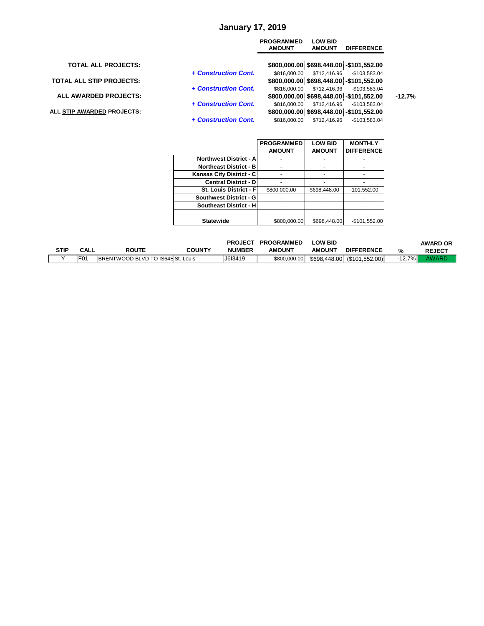#### **January 17, 2019**

|                                 |                      | <b>PROGRAMMED</b><br><b>AMOUNT</b> | <b>LOW BID</b><br><b>AMOUNT</b> | <b>DIFFERENCE</b>                        |          |
|---------------------------------|----------------------|------------------------------------|---------------------------------|------------------------------------------|----------|
| <b>TOTAL ALL PROJECTS:</b>      |                      |                                    |                                 | \$800,000.00 \$698,448.00 -\$101,552.00  |          |
|                                 | + Construction Cont. |                                    | \$816,000.00 \$712,416.96       | -\$103.583.04                            |          |
| <b>TOTAL ALL STIP PROJECTS:</b> |                      |                                    |                                 | \$800,000.00 \$698,448.00 -\$101,552.00  |          |
|                                 | + Construction Cont. | \$816.000.00                       | \$712,416.96                    | -\$103.583.04                            |          |
| ALL AWARDED PROJECTS:           |                      |                                    |                                 | \$800,000.00 \$698,448.00 - \$101,552.00 | $-12.7%$ |
|                                 | + Construction Cont. | \$816,000,00                       | \$712.416.96                    | -\$103.583.04                            |          |
| ALL STIP AWARDED PROJECTS:      |                      |                                    |                                 | \$800,000.00 \$698,448.00 - \$101,552.00 |          |
|                                 | + Construction Cont. | \$816,000.00                       | \$712.416.96                    | $-$103.583.04$                           |          |

|                               | <b>PROGRAMMED</b> | <b>LOW BID</b> | <b>MONTHLY</b>    |
|-------------------------------|-------------------|----------------|-------------------|
|                               | <b>AMOUNT</b>     | <b>AMOUNT</b>  | <b>DIFFERENCE</b> |
| <b>Northwest District - A</b> |                   |                |                   |
| <b>Northeast District - B</b> |                   |                |                   |
| Kansas City District - C      |                   |                |                   |
| <b>Central District - D</b>   |                   |                |                   |
| St. Louis District - F        | \$800,000.00      | \$698,448.00   | $-101,552.00$     |
| <b>Southwest District - G</b> |                   |                |                   |
| Southeast District - H        |                   |                |                   |
|                               |                   |                |                   |
| <b>Statewide</b>              | \$800,000,00      | \$698,448.00   | $-$101,552.00$    |

|      |             |                                   |               | <b>PROJECT</b> | <b>PROGRAMMED</b> | <b>LOW BID</b> |                             |           | <b>AWARD OR</b> |
|------|-------------|-----------------------------------|---------------|----------------|-------------------|----------------|-----------------------------|-----------|-----------------|
| STIP | <b>CALL</b> | <b>ROUTE</b>                      | <b>COUNTY</b> | <b>NUMBER</b>  | <b>AMOUNT</b>     | <b>AMOUNT</b>  | <b>DIFFERENCE</b>           | %         | <b>REJECT</b>   |
|      |             | BRENTWOOD BLVD TO IS64E St. Louis |               | J6I3419        | \$800,000.00      |                | \$698,448.00 (\$101,552.00) | $-12.7\%$ | AWARD           |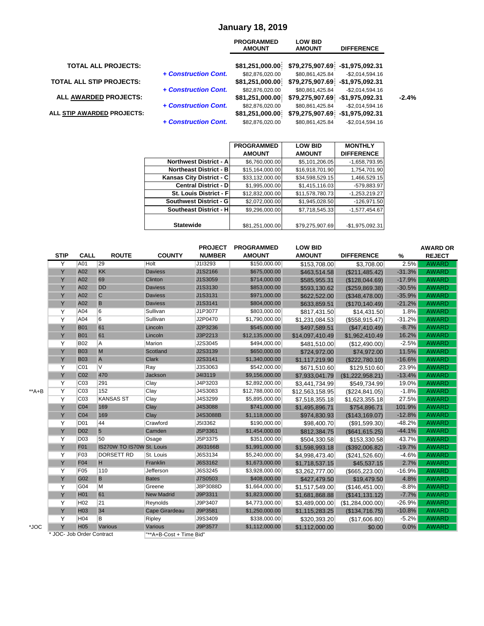#### **January 18, 2019**

|                                 |                      | <b>PROGRAMMED</b><br><b>AMOUNT</b>  | <b>LOW BID</b><br><b>AMOUNT</b>                     | <b>DIFFERENCE</b>  |
|---------------------------------|----------------------|-------------------------------------|-----------------------------------------------------|--------------------|
| <b>TOTAL ALL PROJECTS:</b>      |                      | \$81,251,000.00                     | \$79,275,907.69 -\$1,975,092.31                     |                    |
| <b>TOTAL ALL STIP PROJECTS:</b> | + Construction Cont. | \$82,876,020.00<br>\$81,251,000.00] | \$80,861,425.84<br>\$79,275,907.69 -\$1,975,092.31  | $-$ \$2.014.594.16 |
| <b>ALL AWARDED PROJECTS:</b>    | + Construction Cont. | \$82,876,020.00<br>\$81,251,000.00  | \$80,861,425.84<br>\$79,275,907.69 -\$1,975,092.31  | $-$ \$2.014.594.16 |
| ALL STIP AWARDED PROJECTS:      | + Construction Cont. | \$82,876,020.00<br>\$81,251,000.00  | \$80,861,425.84<br>\$79,275,907.69 - \$1,975,092.31 | $-$2,014,594.16$   |
|                                 | + Construction Cont. | \$82.876.020.00                     | \$80.861.425.84                                     | $-$ \$2.014.594.16 |

|                               | <b>PROGRAMMED</b> | <b>LOW BID</b>  | <b>MONTHLY</b>    |
|-------------------------------|-------------------|-----------------|-------------------|
|                               | <b>AMOUNT</b>     | <b>AMOUNT</b>   | <b>DIFFERENCE</b> |
| <b>Northwest District - A</b> | \$6,760,000.00    | \$5,101,206.05  | -1,658,793.95     |
| <b>Northeast District - B</b> | \$15,164,000.00   | \$16,918,701.90 | 1,754,701.90      |
| Kansas City District - C      | \$33,132,000.00   | \$34,598,529.15 | 1,466,529.15      |
| <b>Central District - D</b>   | \$1,995,000.00    | \$1,415,116.03  | -579.883.97       |
| St. Louis District - Fl       | \$12,832,000.00   | \$11,578,780.73 | $-1,253,219.27$   |
| <b>Southwest District - G</b> | \$2,072,000.00    | \$1,945,028.50  | $-126,971.50$     |
| <b>Southeast District - H</b> | \$9,296,000.00    | \$7,718,545.33  | $-1,577,454.67$   |
|                               |                   |                 |                   |
| <b>Statewide</b>              | \$81,251,000.00   | \$79,275,907.69 | $-$1,975,092.31$  |

|       |                           |                 |                           |                         | <b>PROJECT</b> | <b>PROGRAMMED</b> | <b>LOW BID</b>  |                   |          | <b>AWARD OR</b> |
|-------|---------------------------|-----------------|---------------------------|-------------------------|----------------|-------------------|-----------------|-------------------|----------|-----------------|
|       | <b>STIP</b>               | CALL            | <b>ROUTE</b>              | <b>COUNTY</b>           | <b>NUMBER</b>  | <b>AMOUNT</b>     | <b>AMOUNT</b>   | <b>DIFFERENCE</b> | %        | <b>REJECT</b>   |
|       | Y                         | A01             | 29                        | Holt                    | J1I3293        | \$150,000.00      | \$153,708.00    | \$3.708.00        | 2.5%     | <b>AWARD</b>    |
|       | Y                         | A02             | <b>KK</b>                 | <b>Daviess</b>          | J1S2166        | \$675,000.00      | \$463,514.58    | (\$211,485.42)    | $-31.3%$ | <b>AWARD</b>    |
|       | Y                         | A02             | 69                        | Clinton                 | J1S3059        | \$714,000.00      | \$585,955.31    | (\$128,044.69)    | $-17.9%$ | <b>AWARD</b>    |
|       | Y                         | A02             | <b>DD</b>                 | <b>Daviess</b>          | J1S3130        | \$853,000.00      | \$593,130.62    | (\$259,869.38)    | $-30.5%$ | <b>AWARD</b>    |
|       | Y                         | A02             | $\mathsf{C}$              | <b>Daviess</b>          | J1S3131        | \$971,000.00      | \$622,522.00    | (\$348,478.00)    | $-35.9%$ | <b>AWARD</b>    |
|       | Y                         | A02             | B                         | <b>Daviess</b>          | J1S3141        | \$804,000.00      | \$633,859.51    | (\$170, 140.49)   | $-21.2%$ | <b>AWARD</b>    |
|       | Y                         | A04             | 6                         | Sullivan                | J1P3077        | \$803,000.00      | \$817,431.50    | \$14,431.50       | 1.8%     | <b>AWARD</b>    |
|       | Y                         | A04             | 6                         | Sullivan                | J2P0470        | \$1,790,000.00    | \$1,231,084.53  | (\$558, 915.47)   | $-31.2%$ | <b>AWARD</b>    |
|       | Y                         | <b>B01</b>      | 61                        | Lincoln                 | J2P3236        | \$545,000.00      | \$497,589.51    | (\$47,410.49)     | $-8.7%$  | <b>AWARD</b>    |
|       | Y                         | <b>B01</b>      | 61                        | Lincoln                 | J3P2213        | \$12,135,000.00   | \$14,097,410.49 | \$1,962,410.49    | 16.2%    | <b>AWARD</b>    |
|       | Y                         | <b>B02</b>      | A                         | Marion                  | J2S3045        | \$494,000.00      | \$481,510.00    | (\$12,490.00)     | $-2.5%$  | <b>AWARD</b>    |
|       | Y                         | <b>B03</b>      | M                         | Scotland                | J2S3139        | \$650,000.00      | \$724,972.00    | \$74,972.00       | 11.5%    | <b>AWARD</b>    |
|       | Y                         | <b>B03</b>      | $\overline{A}$            | <b>Clark</b>            | J2S3141        | \$1,340,000.00    | \$1,117,219.90  | (\$222,780.10)    | $-16.6%$ | <b>AWARD</b>    |
|       | Y                         | CO <sub>1</sub> | $\overline{V}$            | Ray                     | J3S3063        | \$542,000.00      | \$671.510.60    | \$129.510.60      | 23.9%    | <b>AWARD</b>    |
|       | Y                         | C <sub>02</sub> | 470                       | Jackson                 | J4I3119        | \$9,156,000.00    | \$7,933,041.79  | (\$1,222,958.21)  | $-13.4%$ | <b>AWARD</b>    |
|       | Y                         | C <sub>03</sub> | 291                       | Clay                    | J4P3203        | \$2,892,000.00    | \$3,441,734.99  | \$549,734.99      | 19.0%    | <b>AWARD</b>    |
| **A+B | Y                         | C <sub>03</sub> | 152                       | Clay                    | J4S3083        | \$12,788,000.00   | \$12,563,158.95 | (\$224, 841.05)   | $-1.8%$  | <b>AWARD</b>    |
|       | Y                         | C <sub>03</sub> | <b>KANSAS ST</b>          | Clay                    | J4S3299        | \$5,895,000.00    | \$7,518,355.18  | \$1,623,355.18    | 27.5%    | <b>AWARD</b>    |
|       | Y                         | <b>C04</b>      | 169                       | Clay                    | J4S3088        | \$741,000.00      | \$1,495,896.71  | \$754,896.71      | 101.9%   | <b>AWARD</b>    |
|       | Y                         | CO <sub>4</sub> | 169                       | Clay                    | J4S3088B       | \$1,118,000.00    | \$974,830.93    | (\$143, 169.07)   | $-12.8%$ | <b>AWARD</b>    |
|       | Y                         | D <sub>01</sub> | 44                        | Crawford                | J513362        | \$190,000.00      | \$98,400.70     | (S91, 599.30)     | $-48.2%$ | <b>AWARD</b>    |
|       | Y                         | <b>D02</b>      | 5                         | Camden                  | J5P3361        | \$1,454,000.00    | \$812,384.75    | (S641, 615.25)    | $-44.1%$ | <b>AWARD</b>    |
|       | Y                         | <b>D03</b>      | 50                        | Osage                   | J5P3375        | \$351,000.00      | \$504.330.58    | \$153,330.58      | 43.7%    | <b>AWARD</b>    |
|       | Y                         | F01             | IS270W TO IS70W St. Louis |                         | J6I3166B       | \$1,991,000.00    | \$1,598,993.18  | (\$392,006.82)    | $-19.7%$ | <b>AWARD</b>    |
|       | Y                         | F03             | <b>DORSETT RD</b>         | St. Louis               | J6S3134        | \$5,240,000.00    | \$4,998,473.40  | (\$241,526.60)    | $-4.6%$  | <b>AWARD</b>    |
|       | Y                         | F04             | H.                        | Franklin                | J6S3162        | \$1,673,000.00    | \$1,718,537.15  | \$45,537.15       | 2.7%     | <b>AWARD</b>    |
|       | Y                         | F <sub>05</sub> | 110                       | Jefferson               | J6S3245        | \$3,928,000.00    | \$3,262,777.00  | (\$665, 223.00)   | $-16.9%$ | <b>AWARD</b>    |
|       | Y                         | G02             | B                         | <b>Bates</b>            | J7S0503        | \$408,000.00      | \$427,479.50    | \$19,479.50       | 4.8%     | <b>AWARD</b>    |
|       | Y                         | G04             | M                         | Greene                  | J8P3088D       | \$1,664,000.00    | \$1,517,549.00  | (\$146,451.00)    | $-8.8%$  | <b>AWARD</b>    |
|       | Y                         | H <sub>01</sub> | 61                        | <b>New Madrid</b>       | J9P3311        | \$1,823,000.00    | \$1,681,868.88  | (\$141, 131.12)   | $-7.7%$  | <b>AWARD</b>    |
|       | Y                         | H <sub>02</sub> | 21                        | Reynolds                | J9P3407        | \$4,773,000.00    | \$3,489,000.00  | (\$1,284,000.00)  | $-26.9%$ | <b>AWARD</b>    |
|       | Y                         | H <sub>03</sub> | 34                        | Cape Girardeau          | J9P3581        | \$1,250,000.00    | \$1,115,283.25  | (\$134,716.75)    | $-10.8%$ | <b>AWARD</b>    |
|       | Υ                         | H <sub>04</sub> | B                         | Ripley                  | J9S3409        | \$338,000.00      | \$320,393.20    | (\$17,606.80)     | $-5.2%$  | <b>AWARD</b>    |
| *JOC  | Y                         | <b>H05</b>      | Various                   | <b>Various</b>          | J9P3577        | \$1,112,000.00    | \$1,112,000.00  | \$0.00            | 0.0%     | <b>AWARD</b>    |
|       | * JOC- Job Order Contract |                 |                           | "**A+B-Cost + Time Bid" |                |                   |                 |                   |          |                 |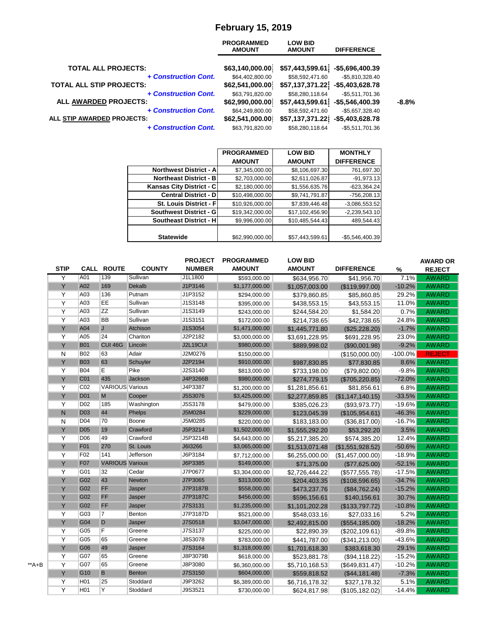# **February 15, 2019**

| <b>PROGRAMMED</b><br><b>AMOUNT</b> | <b>LOW BID</b><br><b>AMOUNT</b> | <b>DIFFERENCE</b> |                                                                                                                  |
|------------------------------------|---------------------------------|-------------------|------------------------------------------------------------------------------------------------------------------|
| \$63,140,000.00                    |                                 |                   |                                                                                                                  |
| \$64,402,800.00                    | \$58,592,471.60                 | $-$5,810,328.40$  |                                                                                                                  |
| \$62,541,000.00                    |                                 |                   |                                                                                                                  |
| \$63,791,820.00                    | \$58,280,118.64                 | $-$5,511,701.36$  |                                                                                                                  |
| \$62,990,000.00                    |                                 | $-$5,546,400.39$  | $-8.8%$                                                                                                          |
| \$64,249,800.00                    | \$58,592,471.60                 | $-$5,657,328.40$  |                                                                                                                  |
| \$62,541,000.00                    |                                 | $-$5,403,628.78$  |                                                                                                                  |
| \$63,791,820.00                    | \$58,280,118.64                 | $-$5,511,701.36$  |                                                                                                                  |
|                                    |                                 |                   | \$57,443,599.61<br>$-$5,696,400.39$<br>\$57,137,371.22<br>$-$5,403,628.78$<br>\$57,443,599.61<br>\$57,137,371.22 |

|                                | <b>PROGRAMMED</b> | <b>LOW BID</b>  | <b>MONTHLY</b>    |
|--------------------------------|-------------------|-----------------|-------------------|
|                                | <b>AMOUNT</b>     | <b>AMOUNT</b>   | <b>DIFFERENCE</b> |
| <b>Northwest District - A</b>  | \$7,345,000.00    | \$8,106,697.30  | 761,697.30        |
| <b>Northeast District - B</b>  | \$2,703,000.00    | \$2,611,026.87  | $-91,973.13$      |
| Kansas City District - C       | \$2,180,000.00    | \$1,556,635.76  | $-623,364.24$     |
| <b>Central District - D</b>    | \$10,498,000.00   | \$9,741,791.87  | $-756,208.13$     |
| <b>St. Louis District - Fl</b> | \$10,926,000.00   | \$7,839,446.48  | $-3,086,553.52$   |
| <b>Southwest District - G</b>  | \$19,342,000.00   | \$17,102,456.90 | $-2,239,543.10$   |
| <b>Southeast District - H</b>  | \$9,996,000.00    | \$10,485,544.43 | 489,544.43        |
|                                |                   |                 |                   |
| <b>Statewide</b>               | \$62,990,000.00   | \$57,443,599.61 | $-$5,546,400.39$  |

|       | <b>STIP</b> |                 | <b>CALL ROUTE</b>      | <b>COUNTY</b> | <b>PROJECT</b><br><b>NUMBER</b> | <b>PROGRAMMED</b><br><b>AMOUNT</b> | <b>LOW BID</b><br><b>AMOUNT</b> | <b>DIFFERENCE</b> | %         | <b>AWARD OR</b><br><b>REJECT</b> |
|-------|-------------|-----------------|------------------------|---------------|---------------------------------|------------------------------------|---------------------------------|-------------------|-----------|----------------------------------|
|       | Y           | A01             | 139                    | Sullivan      | J1L1800                         | \$593,000.00                       | \$634,956.70                    | \$41,956.70       | 7.1%      | <b>AWARD</b>                     |
|       | Y           | A02             | 169                    | Dekalb        | J1P3146                         | \$1,177,000.00                     | \$1,057,003.00                  | (\$119,997.00)    | $-10.2%$  | <b>AWARD</b>                     |
|       | Y           | A03             | 136                    | Putnam        | J1P3152                         | \$294,000.00                       | \$379,860.85                    | \$85,860.85       | 29.2%     | <b>AWARD</b>                     |
|       | Y           | A03             | EE                     | Sullivan      | J1S3148                         | \$395,000.00                       | \$438,553.15                    | \$43,553.15       | 11.0%     | <b>AWARD</b>                     |
|       | Y           | A03             | <b>ZZ</b>              | Sullivan      | J1S3149                         | \$243,000.00                       | \$244,584.20                    | \$1,584.20        | 0.7%      | <b>AWARD</b>                     |
|       | Y           | A03             | <b>BB</b>              | Sullivan      | J1S3151                         | \$172,000.00                       | \$214,738.65                    | \$42,738.65       | 24.8%     | <b>AWARD</b>                     |
|       | Y           | A04             | $\mathsf{J}$           | Atchison      | J1S3054                         | \$1,471,000.00                     | \$1,445,771.80                  | (\$25,228.20)     | $-1.7%$   | <b>AWARD</b>                     |
|       | Y           | A05             | 24                     | Chariton      | J2P2182                         | \$3,000,000.00                     | \$3,691,228.95                  | \$691,228.95      | 23.0%     | <b>AWARD</b>                     |
|       | Y           | <b>B01</b>      | CUI 46G                | Lincoln       | <b>J2L19CUI</b>                 | \$980,000.00                       | \$889,998.02                    | (\$90,001.98)     | $-9.2%$   | <b>AWARD</b>                     |
|       | N           | <b>B02</b>      | 63                     | Adair         | J2M0276                         | \$150,000.00                       |                                 | (\$150,000.00)    | $-100.0%$ | <b>REJECT</b>                    |
|       | Y           | <b>B03</b>      | 63                     | Schuyler      | J2P2194                         | \$910,000.00                       | \$987,830.85                    | \$77,830.85       | 8.6%      | <b>AWARD</b>                     |
|       | Y           | <b>B04</b>      | E                      | Pike          | J2S3140                         | \$813,000.00                       | \$733,198.00                    | (\$79,802.00)     | $-9.8%$   | <b>AWARD</b>                     |
|       | Y           | C01             | 435                    | Jackson       | J4P3266B                        | \$980,000.00                       | \$274,779.15                    | (\$705,220.85)    | $-72.0%$  | <b>AWARD</b>                     |
|       | Y           | C <sub>02</sub> | <b>VARIOUS</b> Various |               | J4P3387                         | \$1,200,000.00                     | \$1,281,856.61                  | \$81,856.61       | 6.8%      | <b>AWARD</b>                     |
|       | Y           | D <sub>01</sub> | M                      | Cooper        | J5S3076                         | \$3,425,000.00                     | \$2,277,859.85                  | (\$1,147,140.15)  | $-33.5%$  | <b>AWARD</b>                     |
|       | Y           | D <sub>02</sub> | 185                    | Washington    | J5S3178                         | \$479,000.00                       | \$385,026.23                    | (\$93,973.77)     | $-19.6%$  | <b>AWARD</b>                     |
|       | N.          | <b>D03</b>      | 44                     | Phelps        | J5M0284                         | \$229,000.00                       | \$123,045.39                    | (\$105,954.61)    | $-46.3%$  | <b>AWARD</b>                     |
|       | N           | D04             | 70                     | Boone         | J5M0285                         | \$220,000.00                       | \$183,183.00                    | (\$36,817.00)     | $-16.7%$  | <b>AWARD</b>                     |
|       | Y           | <b>D05</b>      | 19                     | Crawford      | J5P3214                         | \$1,502,000.00                     | \$1,555,292.20                  | \$53,292.20       | 3.5%      | <b>AWARD</b>                     |
|       | Y           | D <sub>06</sub> | 49                     | Crawford      | J5P3214B                        | \$4,643,000.00                     | \$5,217,385.20                  | \$574,385.20      | 12.4%     | <b>AWARD</b>                     |
|       | Y           | F01             | 270                    | St. Louis     | J6I3266                         | \$3,065,000.00                     | \$1,513,071.48                  | (\$1,551,928.52)  | $-50.6%$  | <b>AWARD</b>                     |
|       | Y           | F <sub>02</sub> | 141                    | Jefferson     | J6P3184                         | \$7,712,000.00                     | \$6,255,000.00                  | (\$1,457,000.00)  | $-18.9%$  | <b>AWARD</b>                     |
|       | Ÿ           | <b>F07</b>      | <b>VARIOUS Various</b> |               | J6P3385                         | \$149,000.00                       | \$71,375.00                     | (\$77,625.00)     | $-52.1%$  | <b>AWARD</b>                     |
|       | Y           | G01             | 32                     | Cedar         | J7P0677                         | \$3,304,000.00                     | \$2,726,444.22                  | (\$577,555.78)    | $-17.5%$  | <b>AWARD</b>                     |
|       | Y           | G02             | 43                     | <b>Newton</b> | J7P3065                         | \$313,000.00                       | \$204,403.35                    | (\$108,596.65)    | $-34.7%$  | <b>AWARD</b>                     |
|       | Y           | G02             | FF                     | Jasper        | J7P3187B                        | \$558,000.00                       | \$473,237.76                    | (\$84,762.24)     | $-15.2%$  | <b>AWARD</b>                     |
|       | Y           | G02             | FF                     | Jasper        | J7P3187C                        | \$456,000.00                       | \$596,156.61                    | \$140,156.61      | 30.7%     | <b>AWARD</b>                     |
|       | Y           | G02             | FF                     | Jasper        | J7S3131                         | \$1,235,000.00                     | \$1,101,202.28                  | (\$133,797.72)    | $-10.8%$  | <b>AWARD</b>                     |
|       | Y           | G03             | $\overline{7}$         | Benton        | J7P3187D                        | \$521,000.00                       | \$548,033.16                    | \$27,033.16       | 5.2%      | <b>AWARD</b>                     |
|       | Y           | G04             | $\mathsf D$            | Jasper        | J7S0518                         | \$3,047,000.00                     | \$2,492,815.00                  | (\$554, 185.00)   | $-18.2%$  | <b>AWARD</b>                     |
|       | Y           | G05             | F                      | Greene        | J7S3137                         | \$225,000.00                       | \$22,890.39                     | (\$202,109.61)    | $-89.8%$  | <b>AWARD</b>                     |
|       | Y           | G <sub>05</sub> | 65                     | Greene        | J8S3078                         | \$783,000.00                       | \$441,787.00                    | (\$341,213.00)    | $-43.6%$  | <b>AWARD</b>                     |
|       | Y           | G06             | 49                     | Jasper        | J7S3164                         | \$1,318,000.00                     | \$1,701,618.30                  | \$383,618.30      | 29.1%     | <b>AWARD</b>                     |
|       | Y           | G07             | 65                     | Greene        | J8P3079B                        | \$618,000.00                       | \$523,881.78                    | (\$94,118.22)     | $-15.2%$  | <b>AWARD</b>                     |
| **A+B | Y           | G07             | 65                     | Greene        | J8P3080                         | \$6,360,000.00                     | \$5,710,168.53                  | (\$649, 831.47)   | $-10.2%$  | <b>AWARD</b>                     |
|       | Y           | G10             | B                      | <b>Benton</b> | J7S3150                         | \$604,000.00                       | \$559,818.52                    | (\$44,181.48)     | $-7.3%$   | <b>AWARD</b>                     |
|       | Y           | H <sub>01</sub> | 25                     | Stoddard      | J9P3262                         | \$6,389,000.00                     | \$6,716,178.32                  | \$327,178.32      | 5.1%      | <b>AWARD</b>                     |
|       | Y           | H <sub>01</sub> | Y                      | Stoddard      | J9S3521                         | \$730,000.00                       | \$624,817.98                    | (\$105, 182.02)   | $-14.4%$  | <b>AWARD</b>                     |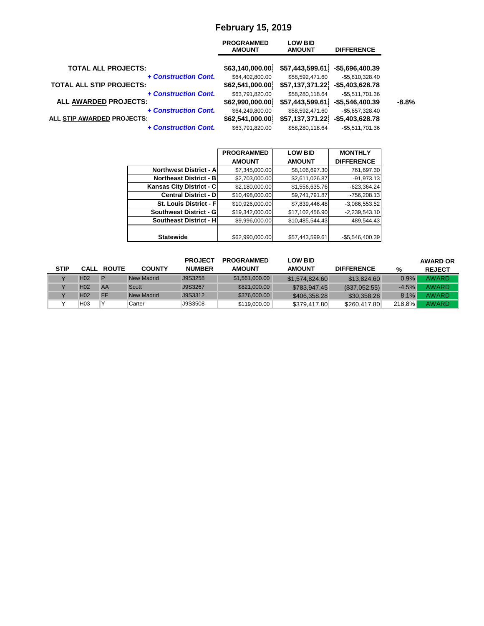# **February 15, 2019**

|                                 | <b>PROGRAMMED</b><br><b>AMOUNT</b> | <b>LOW BID</b><br><b>AMOUNT</b> | <b>DIFFERENCE</b> |         |
|---------------------------------|------------------------------------|---------------------------------|-------------------|---------|
| <b>TOTAL ALL PROJECTS:</b>      | \$63,140,000.00                    | \$57,443,599.61                 | -\$5,696,400.39   |         |
| + Construction Cont.            | \$64,402,800.00                    | \$58,592,471.60                 | $-$5,810,328.40$  |         |
| <b>TOTAL ALL STIP PROJECTS:</b> | \$62,541,000.00                    | \$57,137,371.22                 | $-$5,403,628.78$  |         |
| + Construction Cont.            | \$63,791,820.00                    | \$58,280,118.64                 | $-$5,511,701.36$  |         |
| <b>ALL AWARDED PROJECTS:</b>    | \$62,990,000.00                    | \$57,443,599.61                 | $-$5,546,400.39$  | $-8.8%$ |
| + Construction Cont.            | \$64,249,800.00                    | \$58,592,471.60                 | $-$5,657,328.40$  |         |
| ALL STIP AWARDED PROJECTS:      | \$62,541,000.00                    | \$57,137,371.22                 | $-$5,403,628.78$  |         |
| + Construction Cont.            | \$63,791,820.00                    | \$58,280,118.64                 | $-$5,511,701.36$  |         |

|                                 | <b>PROGRAMMED</b> | <b>LOW BID</b>  | <b>MONTHLY</b>    |
|---------------------------------|-------------------|-----------------|-------------------|
|                                 | <b>AMOUNT</b>     | <b>AMOUNT</b>   | <b>DIFFERENCE</b> |
| <b>Northwest District - All</b> | \$7,345,000.00    | \$8,106,697.30  | 761,697.30        |
| <b>Northeast District - BI</b>  | \$2,703,000.00    | \$2,611,026.87  | $-91,973.13$      |
| Kansas City District - C        | \$2,180,000.00    | \$1,556,635.76  | $-623,364.24$     |
| Central District - D            | \$10,498,000.00   | \$9,741,791.87  | $-756,208.13$     |
| <b>St. Louis District - Fl</b>  | \$10,926,000.00   | \$7,839,446.48  | $-3,086,553.52$   |
| <b>Southwest District - GI</b>  | \$19,342,000.00   | \$17,102,456.90 | $-2,239,543.10$   |
| <b>Southeast District - HI</b>  | \$9,996,000.00    | \$10,485,544.43 | 489,544.43        |
|                                 |                   |                 |                   |
| <b>Statewide</b>                | \$62,990,000.00   | \$57,443,599.61 | $-$5,546,400.39$  |

|             |                 |                   |               | <b>PROJECT</b> | <b>PROGRAMMED</b> | <b>LOW BID</b> |                   |         | <b>AWARD OR</b> |
|-------------|-----------------|-------------------|---------------|----------------|-------------------|----------------|-------------------|---------|-----------------|
| <b>STIP</b> |                 | <b>CALL ROUTE</b> | <b>COUNTY</b> | <b>NUMBER</b>  | <b>AMOUNT</b>     | <b>AMOUNT</b>  | <b>DIFFERENCE</b> | %       | <b>REJECT</b>   |
|             | H <sub>02</sub> | D                 | New Madrid    | J9S3258        | \$1.561.000.00    | \$1,574,824.60 | \$13,824.60       | 0.9%    | <b>AWARD</b>    |
|             | H <sub>02</sub> | AA                | Scott         | J9S3267        | \$821,000.00      | \$783,947.45   | (S37,052.55)      | $-4.5%$ | <b>AWARD</b>    |
|             | H <sub>02</sub> | <b>FF</b>         | New Madrid    | J9S3312        | \$376,000.00      | \$406,358.28   | \$30.358.28       | 8.1%    | <b>AWARD</b>    |
|             | H <sub>03</sub> | ν                 | Carter        | J9S3508        | \$119,000.00      | \$379,417.80   | \$260.417.80      | 218.8%  | <b>AWARD</b>    |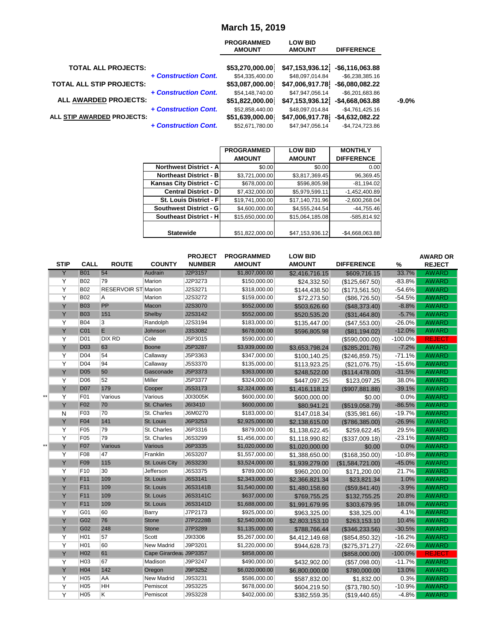# **March 15, 2019**

|                                 |                      | <b>PROGRAMMED</b><br><b>AMOUNT</b> | <b>LOW BID</b><br><b>AMOUNT</b>  | <b>DIFFERENCE</b> |          |
|---------------------------------|----------------------|------------------------------------|----------------------------------|-------------------|----------|
| <b>TOTAL ALL PROJECTS:</b>      |                      | \$53,270,000.00                    | $$47,153,936.12$ -\$6,116,063.88 |                   |          |
|                                 | + Construction Cont. | \$54,335,400.00                    | \$48.097.014.84                  | $-$6.238.385.16$  |          |
| <b>TOTAL ALL STIP PROJECTS:</b> |                      | \$53,087,000.00                    | \$47,006,917.78                  | -\$6,080,082.22   |          |
|                                 | + Construction Cont. | \$54,148,740.00                    | \$47,947,056.14                  | $-$6,201,683.86$  |          |
| <b>ALL AWARDED PROJECTS:</b>    |                      | \$51,822,000.00                    | \$47,153,936.12                  | $-$4,668,063.88$  | $-9.0\%$ |
|                                 | + Construction Cont. | \$52,858,440.00                    | \$48,097,014.84                  | $-$4,761,425.16$  |          |
| ALL STIP AWARDED PROJECTS:      |                      | \$51,639,000.00                    | \$47,006,917.78                  | $-$4,632,082.22$  |          |
|                                 | + Construction Cont. | \$52,671,780.00                    | \$47,947,056.14                  | -\$4.724.723.86   |          |

|                               | <b>PROGRAMMED</b> | <b>LOW BID</b>  | <b>MONTHLY</b>    |
|-------------------------------|-------------------|-----------------|-------------------|
|                               | <b>AMOUNT</b>     | <b>AMOUNT</b>   | <b>DIFFERENCE</b> |
| <b>Northwest District - A</b> | \$0.00            | \$0.00          | 0.00              |
| <b>Northeast District - B</b> | \$3,721,000.00    | \$3,817,369.45  | 96,369.45         |
| Kansas City District - C      | \$678,000.00      | \$596,805.98    | $-81,194.02$      |
| <b>Central District - D</b>   | \$7,432,000.00    | \$5,979,599.11  | $-1,452,400.89$   |
| St. Louis District - Fl       | \$19,741,000.00   | \$17,140,731.96 | $-2,600,268.04$   |
| Southwest District - G        | \$4,600,000.00    | \$4,555,244.54  | $-44,755.46$      |
| <b>Southeast District - H</b> | \$15,650,000.00   | \$15,064,185.08 | $-585,814.92$     |
|                               |                   |                 |                   |
| <b>Statewide</b>              | \$51,822,000.00   | \$47,153,936.12 | $-$4,668,063.88$  |

|       | <b>STIP</b>    | <b>CALL</b>      | <b>ROUTE</b>               | <b>COUNTY</b>          | <b>PROJECT</b><br><b>NUMBER</b> | <b>PROGRAMMED</b><br><b>AMOUNT</b> | <b>LOW BID</b><br><b>AMOUNT</b> | <b>DIFFERENCE</b> | %         | <b>AWARD OR</b><br><b>REJECT</b> |
|-------|----------------|------------------|----------------------------|------------------------|---------------------------------|------------------------------------|---------------------------------|-------------------|-----------|----------------------------------|
|       | Y              | <b>B01</b>       | 54                         | Audrain                | J2P3157                         | \$1,807,000.00                     | \$2,416,716.15                  | \$609,716.15      | 33.7%     | <b>AWARD</b>                     |
|       | Y              | <b>B02</b>       | 79                         | Marion                 | J2P3273                         | \$150,000.00                       | \$24,332.50                     | (\$125,667.50)    | $-83.8%$  | <b>AWARD</b>                     |
|       | Y              | <b>B02</b>       | <b>RESERVOIR ST Marion</b> |                        | J2S3271                         | \$318,000.00                       | \$144,438.50                    | (\$173,561.50)    | $-54.6%$  | <b>AWARD</b>                     |
|       | $\overline{Y}$ | <b>B02</b>       | Α                          | Marion                 | J2S3272                         | \$159,000.00                       | \$72,273.50                     | (\$86,726.50)     | $-54.5%$  | <b>AWARD</b>                     |
|       | Y              | <b>B03</b>       | PP                         | Macon                  | J2S3070                         | \$552,000.00                       | \$503,626.60                    | (\$48,373.40)     | $-8.8%$   | <b>AWARD</b>                     |
|       | Y              | <b>B03</b>       | 151                        | Shelby                 | J2S3142                         | \$552,000.00                       | \$520,535.20                    | (\$31,464.80)     | $-5.7%$   | <b>AWARD</b>                     |
|       | Y              | <b>B04</b>       | 3                          | Randolph               | J2S3194                         | \$183,000.00                       | \$135,447.00                    | (\$47,553.00)     | $-26.0%$  | <b>AWARD</b>                     |
|       | Y              | C <sub>01</sub>  | E                          | Johnson                | J3S3082                         | \$678,000.00                       | \$596,805.98                    | (\$81,194.02)     | $-12.0%$  | <b>AWARD</b>                     |
|       | Y              | D <sub>01</sub>  | <b>DIX RD</b>              | Cole                   | J5P3015                         | \$590,000.00                       |                                 | (\$590,000.00)    | $-100.0%$ | <b>REJECT</b>                    |
|       | Ÿ              | <b>D03</b>       | 63                         | <b>Boone</b>           | J5P3287                         | \$3,939,000.00                     | \$3,653,798.24                  | (\$285,201.76)    | $-7.2%$   | <b>AWARD</b>                     |
|       | Y              | D <sub>04</sub>  | 54                         | Callaway               | J5P3363                         | \$347,000.00                       | \$100,140.25                    | (S246, 859.75)    | $-71.1%$  | <b>AWARD</b>                     |
|       | $\overline{Y}$ | D04              | 94                         | Callaway               | J5S3370                         | \$135,000.00                       | \$113,923.25                    | (\$21,076.75)     | $-15.6%$  | <b>AWARD</b>                     |
|       | Y              | <b>D05</b>       | 50                         | Gasconade              | J5P3373                         | \$363,000.00                       | \$248,522.00                    | (\$114,478.00)    | $-31.5%$  | <b>AWARD</b>                     |
|       | $\overline{Y}$ | D06              | 52                         | Miller                 | J5P3377                         | \$324,000.00                       | \$447,097.25                    | \$123,097.25      | 38.0%     | <b>AWARD</b>                     |
|       | Y              | <b>D07</b>       | 179                        | Cooper                 | J5S3173                         | \$2,324,000.00                     | \$1,416,118.12                  | (\$907,881.88)    | $-39.1%$  | <b>AWARD</b>                     |
| $***$ | Y              | F01              | Various                    | Various                | J0I3005K                        | \$600,000.00                       | \$600,000.00                    | \$0.00            | 0.0%      | <b>AWARD</b>                     |
|       | Y              | F <sub>02</sub>  | 70                         | St. Charles            | J6I3410                         | \$600,000.00                       | \$80,941.21                     | (\$519,058.79)    | $-86.5%$  | <b>AWARD</b>                     |
|       | $\overline{N}$ | F03              | 70                         | St. Charles            | J6M0270                         | \$183,000.00                       | \$147,018.34                    | (\$35,981.66)     | $-19.7%$  | <b>AWARD</b>                     |
|       | Y              | F04              | 141                        | St. Louis              | J6P3253                         | \$2,925,000.00                     | \$2,138,615.00                  | (\$786,385.00)    | $-26.9%$  | <b>AWARD</b>                     |
|       | $\overline{Y}$ | F05              | 79                         | St. Charles            | J6P3316                         | \$879,000.00                       | \$1,138,622.45                  | \$259,622.45      | 29.5%     | <b>AWARD</b>                     |
|       | $\overline{Y}$ | F05              | 79                         | St. Charles            | J6S3299                         | \$1,456,000.00                     | \$1,118,990.82                  | (\$337,009.18)    | $-23.1%$  | <b>AWARD</b>                     |
|       | Ÿ              | <b>F07</b>       | Various                    | Various                | J6P3335                         | \$1,020,000.00                     | \$1,020,000.00                  | \$0.00            | 0.0%      | <b>AWARD</b>                     |
|       | Y              | F08              | 47                         | Franklin               | J6S3207                         | \$1,557,000.00                     | \$1,388,650.00                  | (\$168,350.00)    | $-10.8%$  | <b>AWARD</b>                     |
|       | Y              | F <sub>09</sub>  | 115                        | St. Louis City         | J6S3230                         | \$3,524,000.00                     | \$1,939,279.00                  | (\$1,584,721.00)  | $-45.0%$  | <b>AWARD</b>                     |
|       | Y              | F10              | 30                         | Jefferson              | J6S3375                         | \$789,000.00                       | \$960,200.00                    | \$171,200.00      | 21.7%     | <b>AWARD</b>                     |
|       | Y              | F <sub>11</sub>  | 109                        | St. Louis              | J6S3141                         | \$2,343,000.00                     | \$2,366,821.34                  | \$23,821.34       | 1.0%      | <b>AWARD</b>                     |
|       | Y              | F <sub>11</sub>  | 109                        | St. Louis              | J6S3141B                        | \$1,540,000.00                     | \$1,480,158.60                  | (\$59,841.40)     | $-3.9%$   | <b>AWARD</b>                     |
|       | Y              | F <sub>11</sub>  | 109                        | St. Louis              | J6S3141C                        | \$637,000.00                       | \$769,755.25                    | \$132,755.25      | 20.8%     | <b>AWARD</b>                     |
|       | Y              | F11              | 109                        | St. Louis              | J6S3141D                        | \$1,688,000.00                     | \$1,991,679.95                  | \$303,679.95      | 18.0%     | <b>AWARD</b>                     |
|       | Y              | G01              | 60                         | Barry                  | J7P2173                         | \$925,000.00                       | \$963,325.00                    | \$38,325.00       | 4.1%      | <b>AWARD</b>                     |
|       | Ÿ              | G02              | 76                         | <b>Stone</b>           | J7P2228B                        | \$2,540,000.00                     | \$2,803,153.10                  | \$263,153.10      | 10.4%     | <b>AWARD</b>                     |
|       | Y              | G02              | 248                        | <b>Stone</b>           | J7P3289                         | \$1,135,000.00                     | \$788,766.44                    | (\$346,233.56)    | $-30.5%$  | <b>AWARD</b>                     |
|       | Y              | H <sub>0</sub> 1 | 57                         | Scott                  | J9I3306                         | \$5,267,000.00                     | \$4,412,149.68                  | (\$854, 850.32)   | $-16.2%$  | <b>AWARD</b>                     |
|       | Y              | H <sub>01</sub>  | 60                         | New Madrid             | J9P3201                         | \$1,220,000.00                     | \$944,628.73                    | (\$275,371.27)    | $-22.6%$  | <b>AWARD</b>                     |
|       | Ÿ              | H <sub>02</sub>  | 61                         | Cape Girardeat J9P3357 |                                 | \$858,000.00                       |                                 | (\$858,000.00)    | $-100.0%$ | <b>REJECT</b>                    |
|       | Y              | H <sub>03</sub>  | 67                         | Madison                | J9P3247                         | \$490,000.00                       | \$432,902.00                    | (\$57,098.00)     | $-11.7%$  | <b>AWARD</b>                     |
|       | Ÿ              | <b>H04</b>       | 142                        | Oregon                 | J9P3252                         | \$6,020,000.00                     | \$6,800,000.00                  | \$780,000.00      | 13.0%     | <b>AWARD</b>                     |
|       | Υ              | H <sub>05</sub>  | AA                         | New Madrid             | J9S3231                         | \$586,000.00                       | \$587,832.00                    | \$1,832.00        | 0.3%      | <b>AWARD</b>                     |
|       | Y              | H <sub>05</sub>  | HH                         | Pemiscot               | J9S3225                         | \$678,000.00                       | \$604,219.50                    | (\$73,780.50)     | $-10.9%$  | <b>AWARD</b>                     |
|       | $\overline{Y}$ | H05              | Κ                          | Pemiscot               | J9S3228                         | \$402,000.00                       | \$382,559.35                    | (\$19,440.65)     | $-4.8%$   | <b>AWARD</b>                     |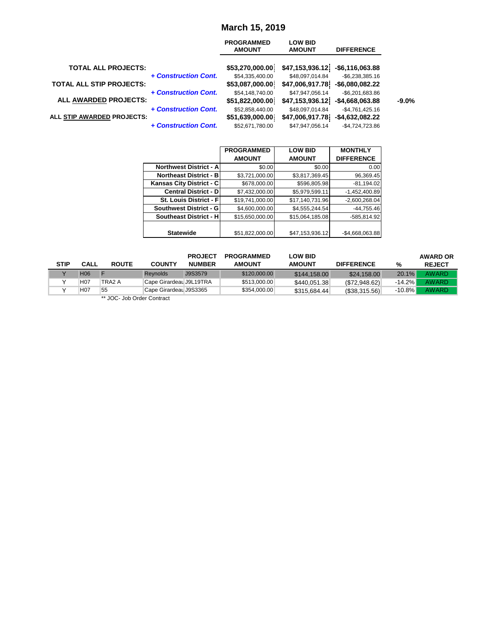### **March 15, 2019**

|                                 |                      | <b>PROGRAMMED</b><br><b>AMOUNT</b> | <b>LOW BID</b><br><b>AMOUNT</b>    | <b>DIFFERENCE</b>                    |          |
|---------------------------------|----------------------|------------------------------------|------------------------------------|--------------------------------------|----------|
| <b>TOTAL ALL PROJECTS:</b>      |                      | \$53,270,000.00                    | \$47,153,936.12                    | $-$ \$6,116,063.88                   |          |
| <b>TOTAL ALL STIP PROJECTS:</b> | + Construction Cont. | \$54,335,400.00<br>\$53,087,000.00 | \$48.097.014.84<br>\$47,006,917.78 | $-$6,238,385.16$<br>$-$6,080,082.22$ |          |
| <b>ALL AWARDED PROJECTS:</b>    | + Construction Cont. | \$54,148,740.00<br>\$51,822,000.00 | \$47,947,056.14<br>\$47,153,936.12 | $-$6,201,683.86$<br>-\$4,668,063.88  | $-9.0\%$ |
|                                 | + Construction Cont. | \$52,858,440.00                    | \$48,097,014.84                    | $-$4,761,425.16$                     |          |
| ALL STIP AWARDED PROJECTS:      | + Construction Cont. | \$51,639,000.00<br>\$52,671,780.00 | \$47,006,917.78<br>\$47,947,056.14 | $-$4,632,082.22$<br>$-$4,724,723.86$ |          |

|                               | <b>PROGRAMMED</b> | <b>LOW BID</b>  | <b>MONTHLY</b>    |
|-------------------------------|-------------------|-----------------|-------------------|
|                               | <b>AMOUNT</b>     | <b>AMOUNT</b>   | <b>DIFFERENCE</b> |
| <b>Northwest District - A</b> | \$0.00            | \$0.00          | 0.00              |
| <b>Northeast District - B</b> | \$3,721,000.00    | \$3,817,369.45  | 96,369.45         |
| Kansas City District - C      | \$678,000.00      | \$596,805.98    | $-81,194.02$      |
| <b>Central District - D</b>   | \$7,432,000.00    | \$5,979,599.11  | $-1,452,400.89$   |
| St. Louis District - F        | \$19,741,000.00   | \$17,140,731.96 | $-2,600,268.04$   |
| <b>Southwest District - G</b> | \$4,600,000.00    | \$4,555,244.54  | $-44,755.46$      |
| <b>Southeast District - H</b> | \$15,650,000.00   | \$15,064,185.08 | -585.814.92       |
|                               |                   |                 |                   |
| <b>Statewide</b>              | \$51,822,000.00   | \$47,153,936.12 | $-$4,668,063.88$  |

|      |                  |              |                         | <b>PROJECT</b> | <b>PROGRAMMED</b> | <b>LOW BID</b> |                   |           | <b>AWARD OR</b> |
|------|------------------|--------------|-------------------------|----------------|-------------------|----------------|-------------------|-----------|-----------------|
| STIP | <b>CALL</b>      | <b>ROUTE</b> | <b>COUNTY</b>           | <b>NUMBER</b>  | <b>AMOUNT</b>     | <b>AMOUNT</b>  | <b>DIFFERENCE</b> | %         | <b>REJECT</b>   |
|      | H <sub>06</sub>  |              | <b>Revnolds</b>         | J9S3579        | \$120,000,00      | \$144,158,00   | \$24,158,00       | $20.1\%$  | AWARD           |
|      | H <sub>0</sub> 7 | TRA2 A       | Cape Girardeal J9L19TRA |                | \$513,000,00      | \$440.051.38   | (S72, 948.62)     | $-14.2\%$ | AWARD           |
|      | H <sub>07</sub>  | 55           | Cape Girardeal J9S3365  |                | \$354,000.00      | \$315.684.44   | (S38, 315.56)     | $-10.8\%$ | <b>AWARD</b>    |
|      |                  | $\cdots$     |                         |                |                   |                |                   |           |                 |

JOC- Job Order Contract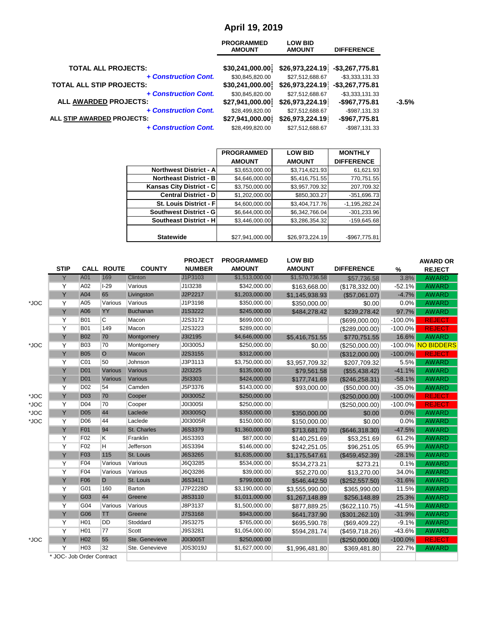# **April 19, 2019**

| <b>PROGRAMMED</b><br><b>AMOUNT</b> | <b>LOW BID</b><br><b>AMOUNT</b> | <b>DIFFERENCE</b> |                                    |
|------------------------------------|---------------------------------|-------------------|------------------------------------|
| \$30,241,000.00                    |                                 | -\$3,267,775.81   |                                    |
| \$30,845,820.00                    | \$27,512,688.67                 | $-$3,333,131.33$  |                                    |
| \$30,241,000.00                    |                                 | $-$3,267,775.81$  |                                    |
| \$30,845,820.00                    | \$27,512,688.67                 | $-$3,333,131.33$  |                                    |
| \$27,941,000.00                    | \$26,973,224.19                 | $-$967,775.81$    | $-3.5%$                            |
| \$28,499,820.00                    | \$27,512,688.67                 | $-$987,131.33$    |                                    |
| \$27,941,000.00                    | \$26,973,224.19                 | -\$967,775.81     |                                    |
| \$28,499,820.00                    | \$27,512,688.67                 | $-$987,131.33$    |                                    |
|                                    |                                 |                   | \$26,973,224.19<br>\$26,973,224.19 |

|                                | <b>PROGRAMMED</b> | <b>LOW BID</b>  | <b>MONTHLY</b>    |
|--------------------------------|-------------------|-----------------|-------------------|
|                                | <b>AMOUNT</b>     | <b>AMOUNT</b>   | <b>DIFFERENCE</b> |
| <b>Northwest District - A</b>  | \$3,653,000.00    | \$3,714,621.93  | 61,621.93         |
| <b>Northeast District - B</b>  | \$4,646,000.00    | \$5,416,751.55  | 770,751.55        |
| Kansas City District - C       | \$3,750,000.00    | \$3,957,709.32  | 207,709.32        |
| <b>Central District - D</b>    | \$1,202,000.00    | \$850,303.27    | $-351,696.73$     |
| <b>St. Louis District - Fl</b> | \$4,600,000.00    | \$3,404,717.76  | $-1,195,282.24$   |
| Southwest District - G         | \$6,644,000.00    | \$6,342,766.04  | $-301,233.96$     |
| <b>Southeast District - H</b>  | \$3,446,000.00    | \$3,286,354.32  | $-159,645.68$     |
|                                |                   |                 |                   |
| <b>Statewide</b>               | \$27,941,000.00   | \$26,973,224.19 | -\$967,775.81     |

|         | <b>STIP</b>               |                 | <b>CALL ROUTE</b> | <b>COUNTY</b>   | <b>PROJECT</b><br><b>NUMBER</b> | <b>PROGRAMMED</b><br><b>AMOUNT</b> | <b>LOW BID</b><br><b>AMOUNT</b> | <b>DIFFERENCE</b> | $\%$       | <b>AWARD OR</b><br><b>REJECT</b> |
|---------|---------------------------|-----------------|-------------------|-----------------|---------------------------------|------------------------------------|---------------------------------|-------------------|------------|----------------------------------|
|         | Y                         | A01             | 169               | <b>Clinton</b>  | J1P3103                         | \$1,513,000.00                     | \$1,570,736.58                  | \$57,736.58       | 3.8%       | <b>AWARD</b>                     |
|         | Y                         | A02             | $I-29$            | Various         | J1I3238                         | \$342,000.00                       | \$163,668.00                    | (\$178,332.00)    | $-52.1%$   | <b>AWARD</b>                     |
|         | Y                         | A04             | 65                | Livingston      | J2P2217                         | \$1,203,000.00                     | \$1,145,938.93                  | (\$57,061.07)     | $-4.7%$    | <b>AWARD</b>                     |
| *JOC    | Y                         | A05             | Various           | Various         | J1P3198                         | \$350,000.00                       | \$350,000.00                    | \$0.00            | $0.0\%$    | <b>AWARD</b>                     |
|         | Y                         | A06             | YY                | <b>Buchanan</b> | J1S3222                         | \$245,000.00                       | \$484,278.42                    | \$239,278.42      | 97.7%      | <b>AWARD</b>                     |
|         | Y                         | <b>B01</b>      | C                 | Macon           | J2S3172                         | \$699,000.00                       |                                 | (\$699,000.00)    | $-100.0\%$ | <b>REJECT</b>                    |
|         | Y                         | <b>B01</b>      | 149               | Macon           | J2S3223                         | \$289,000.00                       |                                 | (\$289,000.00)    | $-100.0\%$ | <b>REJECT</b>                    |
|         | Y                         | <b>B02</b>      | 70                | Montgomery      | J3I2195                         | \$4,646,000.00                     | \$5,416,751.55                  | \$770,751.55      | 16.6%      | <b>AWARD</b>                     |
| *JOC    | Y                         | <b>B03</b>      | 70                | Montgomery      | J0I3005J                        | \$250,000.00                       | \$0.00                          | (\$250,000.00)    |            | -100.0% NO BIDDERS               |
|         | Y                         | <b>B05</b>      | $\circ$           | Macon           | J2S3155                         | \$312,000.00                       |                                 | (\$312,000.00)    | $-100.0%$  | <b>REJECT</b>                    |
|         | Y                         | C <sub>01</sub> | 50                | Johnson         | J3P3113                         | \$3,750,000.00                     | \$3,957,709.32                  | \$207.709.32      | 5.5%       | <b>AWARD</b>                     |
|         | Y                         | <b>D01</b>      | Various           | <b>Various</b>  | J2I3225                         | \$135,000.00                       | \$79,561.58                     | (\$55,438.42)     | $-41.1%$   | <b>AWARD</b>                     |
|         | Y                         | <b>D01</b>      | Various           | Various         | J5I3303                         | \$424,000.00                       | \$177,741.69                    | (\$246, 258.31)   | $-58.1%$   | <b>AWARD</b>                     |
|         | Y                         | D <sub>02</sub> | 54                | Camden          | J5P3376                         | \$143,000.00                       | \$93,000.00                     | (\$50,000.00)     | $-35.0%$   | <b>AWARD</b>                     |
| *JOC    | Y                         | <b>D03</b>      | 70                | Cooper          | J0I3005Z                        | \$250,000.00                       |                                 | (\$250,000.00)    | $-100.0\%$ | <b>REJECT</b>                    |
| $*$ JOC | Y                         | D <sub>04</sub> | 70                | Cooper          | J0I3005I                        | \$250,000.00                       |                                 | (\$250,000.00)    | $-100.0\%$ | <b>REJECT</b>                    |
| *JOC    | Y                         | <b>D05</b>      | 44                | Laclede         | J0I3005Q                        | \$350,000.00                       | \$350,000.00                    | \$0.00            | 0.0%       | <b>AWARD</b>                     |
| *JOC    | Y                         | <b>D06</b>      | 44                | Laclede         | J0I3005R                        | \$150,000.00                       | \$150,000.00                    | \$0.00            | 0.0%       | <b>AWARD</b>                     |
|         | Y                         | F01             | 94                | St. Charles     | J6S3379                         | \$1,360,000.00                     | \$713,681.70                    | (\$646,318.30)    | $-47.5%$   | <b>AWARD</b>                     |
|         | Y                         | F <sub>02</sub> | Κ                 | Franklin        | J6S3393                         | \$87,000.00                        | \$140,251.69                    | \$53,251.69       | 61.2%      | <b>AWARD</b>                     |
|         | Y                         | F <sub>02</sub> | H                 | Jefferson       | J6S3394                         | \$146,000.00                       | \$242,251.05                    | \$96,251.05       | 65.9%      | <b>AWARD</b>                     |
|         | Y                         | F <sub>03</sub> | 115               | St. Louis       | J6S3265                         | \$1,635,000.00                     | \$1,175,547.61                  | (\$459, 452.39)   | $-28.1%$   | <b>AWARD</b>                     |
|         | Y                         | F04             | Various           | Various         | J6Q3285                         | \$534,000.00                       | \$534,273.21                    | \$273.21          | 0.1%       | <b>AWARD</b>                     |
|         | Y                         | F04             | Various           | Various         | J6Q3286                         | \$39,000.00                        | \$52,270.00                     | \$13,270.00       | 34.0%      | <b>AWARD</b>                     |
|         | Y                         | F <sub>06</sub> | D                 | St. Louis       | J6S3411                         | \$799,000.00                       | \$546,442.50                    | (\$252,557.50)    | $-31.6%$   | <b>AWARD</b>                     |
|         | Y                         | G01             | 160               | Barton          | J7P2228D                        | \$3,190,000.00                     | \$3,555,990.00                  | \$365,990.00      | 11.5%      | <b>AWARD</b>                     |
|         | Y                         | G03             | 44                | Greene          | J8S3110                         | \$1,011,000.00                     | \$1,267,148.89                  | \$256,148.89      | 25.3%      | <b>AWARD</b>                     |
|         | Y                         | G04             | Various           | Various         | J8P3137                         | \$1,500,000.00                     | \$877,889.25                    | (\$622, 110.75)   | $-41.5%$   | <b>AWARD</b>                     |
|         | Y                         | G06             | <b>TT</b>         | Greene          | J7S3168                         | \$943,000.00                       | \$641,737.90                    | (\$301,262.10)    | $-31.9%$   | <b>AWARD</b>                     |
|         | Y                         | H <sub>01</sub> | <b>DD</b>         | Stoddard        | J9S3275                         | \$765,000.00                       | \$695,590.78                    | (\$69,409.22)     | $-9.1%$    | <b>AWARD</b>                     |
|         | Y                         | H <sub>01</sub> | 77                | Scott           | J9S3281                         | \$1,054,000.00                     | \$594,281.74                    | (\$459,718.26)    | $-43.6%$   | <b>AWARD</b>                     |
| *JOC    | Y                         | H <sub>02</sub> | 55                | Ste. Genevieve  | J0I3005T                        | \$250,000.00                       |                                 | (\$250,000.00)    | $-100.0\%$ | <b>REJECT</b>                    |
|         | Y                         | H <sub>03</sub> | 32                | Ste. Genevieve  | J0S3019J                        | \$1,627,000.00                     | \$1,996,481.80                  | \$369,481.80      | 22.7%      | <b>AWARD</b>                     |
|         | * JOC- Job Order Contract |                 |                   |                 |                                 |                                    |                                 |                   |            |                                  |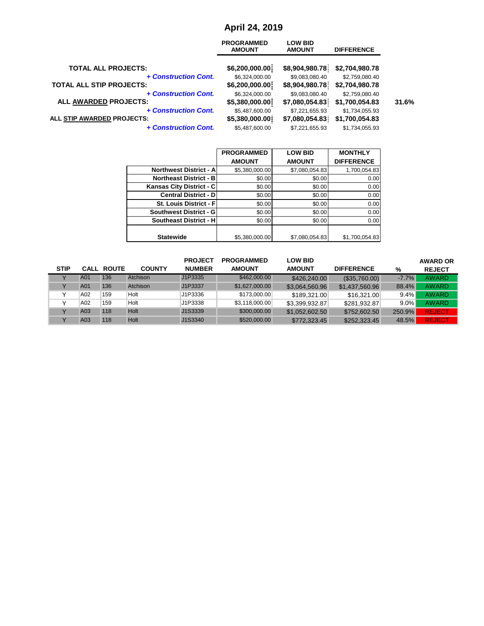# **April 24, 2019**

|                                 | <b>PROGRAMMED</b><br><b>AMOUNT</b> | <b>LOW BID</b><br><b>AMOUNT</b> | <b>DIFFERENCE</b> |       |
|---------------------------------|------------------------------------|---------------------------------|-------------------|-------|
| <b>TOTAL ALL PROJECTS:</b>      | \$6,200,000.00]                    | \$8,904,980.78                  | \$2,704,980.78    |       |
| + Construction Cont.            | \$6,324,000.00                     | \$9,083,080.40                  | \$2,759,080.40    |       |
| <b>TOTAL ALL STIP PROJECTS:</b> | \$6,200,000.00                     | \$8,904,980.78                  | \$2,704,980.78    |       |
| + Construction Cont.            | \$6,324,000.00                     | \$9,083,080.40                  | \$2,759,080.40    |       |
| <b>ALL AWARDED PROJECTS:</b>    | \$5,380,000.00                     | \$7,080,054.83                  | \$1,700,054.83    | 31.6% |
| + Construction Cont.            | \$5,487,600.00                     | \$7,221,655.93                  | \$1,734,055.93    |       |
| ALL STIP AWARDED PROJECTS:      | \$5,380,000.00                     | \$7,080,054.83                  | \$1,700,054.83    |       |
| <b>+ Construction Cont.</b>     | \$5,487,600.00                     | \$7,221,655.93                  | \$1,734,055.93    |       |
|                                 |                                    |                                 |                   |       |

|                                 | <b>PROGRAMMED</b> | <b>LOW BID</b> | <b>MONTHLY</b>    |
|---------------------------------|-------------------|----------------|-------------------|
|                                 | <b>AMOUNT</b>     | <b>AMOUNT</b>  | <b>DIFFERENCE</b> |
| <b>Northwest District - All</b> | \$5,380,000.00    | \$7,080,054.83 | 1,700,054.83      |
| <b>Northeast District - BI</b>  | \$0.00            | \$0.00         | 0.00              |
| Kansas City District - C        | \$0.00            | \$0.00         | 0.00              |
| <b>Central District - DI</b>    | \$0.00            | \$0.00         | 0.00              |
| <b>St. Louis District - Fl</b>  | \$0.00            | \$0.00         | 0.00              |
| Southwest District - G          | \$0.00            | \$0.00         | 0.00              |
| <b>Southeast District - H</b>   | \$0.00            | \$0.00         | 0.00              |
|                                 |                   |                |                   |
| <b>Statewide</b>                | \$5,380,000.00    | \$7,080,054.83 | \$1,700,054.83    |

|             |     |                   |               | <b>PROJECT</b> | <b>PROGRAMMED</b> | <b>LOW BID</b> |                   |         | <b>AWARD OR</b> |
|-------------|-----|-------------------|---------------|----------------|-------------------|----------------|-------------------|---------|-----------------|
| <b>STIP</b> |     | <b>CALL ROUTE</b> | <b>COUNTY</b> | <b>NUMBER</b>  | <b>AMOUNT</b>     | <b>AMOUNT</b>  | <b>DIFFERENCE</b> | %       | <b>REJECT</b>   |
|             | A01 | 136               | Atchison      | J1P3335        | \$462,000.00      | \$426,240,00   | (\$35,760.00)     | $-7.7%$ | <b>AWARD</b>    |
|             | A01 | 136               | Atchison      | J1P3337        | \$1,627,000.00    | \$3,064,560.96 | \$1,437,560.96    | 88.4%   | <b>AWARD</b>    |
|             | A02 | 159               | Holt          | J1P3336        | \$173,000.00      | \$189,321,00   | \$16,321,00       | $9.4\%$ | <b>AWARD</b>    |
|             | A02 | 159               | Holt          | J1P3338        | \$3,118,000.00    | \$3.399.932.87 | \$281.932.87      | $9.0\%$ | AWARD           |
|             | A03 | 118               | <b>Holt</b>   | J1S3339        | \$300,000.00      | \$1.052.602.50 | \$752,602.50      | 250.9%  | <b>REJECT</b>   |
|             | A03 | 118               | Holt          | J1S3340        | \$520,000.00      | \$772,323.45   | \$252,323.45      | 48.5%   | <b>REJECT</b>   |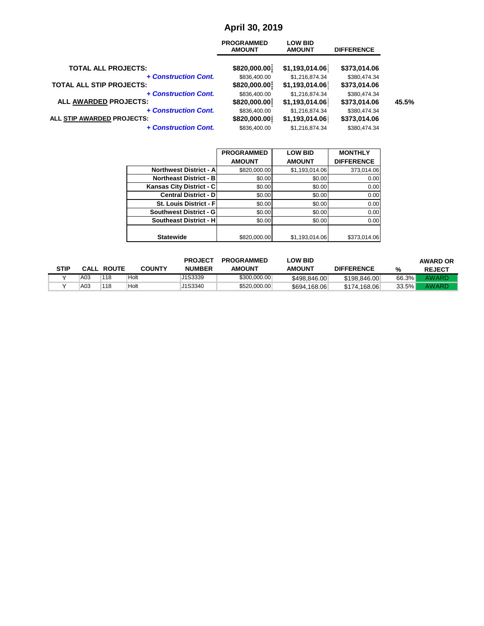# **April 30, 2019**

| <b>PROGRAMMED</b><br><b>AMOUNT</b> | <b>LOW BID</b><br><b>AMOUNT</b> | <b>DIFFERENCE</b> |       |
|------------------------------------|---------------------------------|-------------------|-------|
|                                    |                                 | \$373,014.06      |       |
| \$836,400.00                       | \$1,216,874.34                  | \$380,474.34      |       |
| \$820,000.00                       | \$1,193,014.06                  | \$373,014.06      |       |
| \$836,400.00                       | \$1,216,874.34                  | \$380,474.34      |       |
| \$820,000.00                       | \$1,193,014.06                  | \$373,014.06      | 45.5% |
| \$836,400.00                       | \$1,216,874.34                  | \$380,474.34      |       |
| \$820,000.00                       | \$1,193,014.06                  | \$373,014.06      |       |
| \$836,400.00                       | \$1,216,874.34                  | \$380,474.34      |       |
|                                    | \$820,000.00                    | \$1,193,014.06    |       |

|                                | <b>PROGRAMMED</b> | <b>LOW BID</b> | <b>MONTHLY</b>    |
|--------------------------------|-------------------|----------------|-------------------|
|                                | <b>AMOUNT</b>     | <b>AMOUNT</b>  | <b>DIFFERENCE</b> |
| <b>Northwest District - Al</b> | \$820,000.00      | \$1,193,014.06 | 373,014.06        |
| <b>Northeast District - BI</b> | \$0.00            | \$0.00         | 0.00              |
| Kansas City District - C       | \$0.00            | \$0.00         | 0.00              |
| <b>Central District - DI</b>   | \$0.00            | \$0.00         | 0.00              |
| St. Louis District - F         | \$0.00            | \$0.00         | 0.00              |
| <b>Southwest District - GI</b> | \$0.00            | \$0.00         | 0.00              |
| <b>Southeast District - HI</b> | \$0.00            | \$0.00         | 0.00              |
|                                |                   |                |                   |
| <b>Statewide</b>               | \$820,000.00      | \$1,193,014.06 | \$373,014.06      |

|             |     |                   |               | <b>PROJECT</b> | <b>PROGRAMMED</b> | <b>LOW BID</b> |                   |          | <b>AWARD OR</b> |
|-------------|-----|-------------------|---------------|----------------|-------------------|----------------|-------------------|----------|-----------------|
| <b>STIP</b> |     | <b>CALL ROUTE</b> | <b>COUNTY</b> | <b>NUMBER</b>  | <b>AMOUNT</b>     | <b>AMOUNT</b>  | <b>DIFFERENCE</b> | %        | <b>REJECT</b>   |
|             | A03 | 118               | Holt          | J1S3339        | \$300,000,00      | \$498,846,00   | \$198,846,00      | 66.3%    | <b>AWARD</b>    |
|             | A03 | 118               | Holt          | J1S3340        | \$520,000.00      | \$694.168.06   | \$174.168.06      | $33.5\%$ | AWARD           |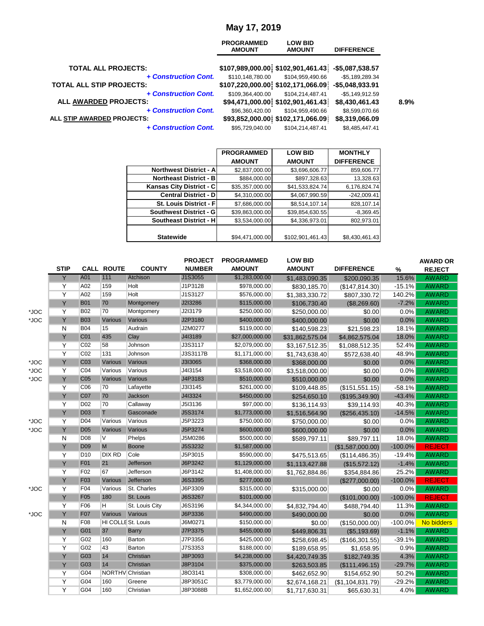### **May 17, 2019**

|                                 | <b>PROGRAMMED</b><br><b>AMOUNT</b> | <b>LOW BID</b><br><b>AMOUNT</b>                   | <b>DIFFERENCE</b> |
|---------------------------------|------------------------------------|---------------------------------------------------|-------------------|
| <b>TOTAL ALL PROJECTS:</b>      |                                    | \$107,989,000.00 \$102,901,461.43 -\$5,087,538.57 |                   |
| + Construction Cont.            | \$110,148,780.00                   | \$104,959,490.66                                  | $-$5,189,289.34$  |
| <b>TOTAL ALL STIP PROJECTS:</b> |                                    | \$107,220,000.00 \$102,171,066.09                 | $-$5,048,933.91$  |
| + Construction Cont.            | \$109,364,400.00                   | \$104,214,487.41                                  | $-$5,149,912.59$  |
| <b>ALL AWARDED PROJECTS:</b>    |                                    | \$94,471,000.00 \$102,901,461.43                  | \$8,430,461.43    |
| + Construction Cont.            | \$96,360,420.00                    | \$104,959,490.66                                  | \$8,599,070.66    |
| ALL STIP AWARDED PROJECTS:      |                                    | \$93,852,000.00 \$102,171,066.09                  | \$8,319,066.09    |
| + Construction Cont.            | \$95,729,040.00                    | \$104.214.487.41                                  | \$8,485,447.41    |
|                                 |                                    |                                                   |                   |

|                                | <b>PROGRAMMED</b> | <b>LOW BID</b>   | <b>MONTHLY</b>    |
|--------------------------------|-------------------|------------------|-------------------|
|                                | <b>AMOUNT</b>     | <b>AMOUNT</b>    | <b>DIFFERENCE</b> |
| <b>Northwest District - A</b>  | \$2,837,000.00    | \$3,696,606.77   | 859,606.77        |
| <b>Northeast District - B</b>  | \$884,000.00      | \$897,328.63     | 13,328.63         |
| Kansas City District - C       | \$35,357,000.00   | \$41,533,824.74  | 6,176,824.74      |
| <b>Central District - DI</b>   | \$4,310,000.00    | \$4,067,990.59   | $-242,009.41$     |
| <b>St. Louis District - Fl</b> | \$7,686,000.00    | \$8,514,107.14   | 828,107.14        |
| Southwest District - G         | \$39,863,000.00   | \$39,854,630.55  | $-8,369.45$       |
| <b>Southeast District - H</b>  | \$3,534,000.00    | \$4,336,973.01   | 802,973.01        |
|                                |                   |                  |                   |
| <b>Statewide</b>               | \$94,471,000.00   | \$102,901,461.43 | \$8,430,461.43    |

|      | <b>STIP</b> |                 | <b>CALL ROUTE</b>       | <b>COUNTY</b>  | <b>PROJECT</b><br><b>NUMBER</b> | <b>PROGRAMMED</b><br><b>AMOUNT</b> | <b>LOW BID</b><br><b>AMOUNT</b> | <b>DIFFERENCE</b> | %          | <b>AWARD OR</b><br><b>REJECT</b> |
|------|-------------|-----------------|-------------------------|----------------|---------------------------------|------------------------------------|---------------------------------|-------------------|------------|----------------------------------|
|      | Y           | A01             | 111                     | Atchison       | J1S3055                         | \$1,283,000.00                     | \$1,483,090.35                  | \$200,090.35      | 15.6%      | <b>AWARD</b>                     |
|      | Y           | A02             | 159                     | Holt           | J1P3128                         | \$978,000.00                       | \$830,185.70                    | (\$147, 814.30)   | $-15.1%$   | <b>AWARD</b>                     |
|      | Y           | A02             | 159                     | Holt           | J1S3127                         | \$576,000.00                       | \$1,383,330.72                  | \$807,330.72      | 140.2%     | <b>AWARD</b>                     |
|      | Y           | <b>B01</b>      | 70                      | Montgomery     | J2I3286                         | \$115,000.00                       | \$106,730.40                    | (\$8,269.60)      | $-7.2%$    | <b>AWARD</b>                     |
| *JOC | Y           | <b>B02</b>      | 70                      | Montgomery     | J2I3179                         | \$250,000.00                       | \$250,000.00                    | \$0.00            | 0.0%       | <b>AWARD</b>                     |
| *JOC | Y           | <b>B03</b>      | Various                 | Various        | J2P3180                         | \$400,000.00                       | \$400,000.00                    | \$0.00            | 0.0%       | <b>AWARD</b>                     |
|      | N           | <b>B04</b>      | 15                      | Audrain        | J2M0277                         | \$119,000.00                       | \$140,598.23                    | \$21,598.23       | 18.1%      | <b>AWARD</b>                     |
|      | Y           | C01             | 435                     | Clay           | J4I3189                         | \$27,000,000.00                    | \$31,862,575.04                 | \$4,862,575.04    | 18.0%      | <b>AWARD</b>                     |
|      | Y           | CO <sub>2</sub> | 58                      | Johnson        | J3S3117                         | \$2,079,000.00                     | \$3,167,512.35                  | \$1,088,512.35    | 52.4%      | <b>AWARD</b>                     |
|      | Y           | CO <sub>2</sub> | 131                     | Johnson        | J3S3117B                        | \$1,171,000.00                     | \$1,743,638.40                  | \$572,638.40      | 48.9%      | <b>AWARD</b>                     |
| *JOC | Y           | C <sub>03</sub> | Various                 | Various        | J3I3065                         | \$368,000.00                       | \$368,000.00                    | \$0.00            | 0.0%       | <b>AWARD</b>                     |
| *JOC | Y           | CO <sub>4</sub> | Various                 | Various        | J4I3154                         | \$3,518,000.00                     | \$3,518,000.00                  | \$0.00            | 0.0%       | <b>AWARD</b>                     |
| *JOC | Y           | C <sub>05</sub> | Various                 | Various        | J4P3183                         | \$510,000.00                       | \$510,000.00                    | \$0.00            | 0.0%       | <b>AWARD</b>                     |
|      | Y           | C06             | 70                      | Lafayette      | J3I3145                         | \$261,000.00                       | \$109,448.85                    | (\$151,551.15)    | $-58.1%$   | <b>AWARD</b>                     |
|      | Y           | C07             | 70                      | Jackson        | J4I3324                         | \$450,000.00                       | \$254,650.10                    | (\$195,349.90)    | $-43.4%$   | <b>AWARD</b>                     |
|      | Y           | D <sub>02</sub> | 70                      | Callaway       | J5I3136                         | \$97,000.00                        | \$136,114.93                    | \$39,114.93       | 40.3%      | <b>AWARD</b>                     |
|      | Y           | <b>D03</b>      | T                       | Gasconade      | J5S3174                         | \$1,773,000.00                     | \$1,516,564.90                  | (\$256,435.10)    | $-14.5%$   | <b>AWARD</b>                     |
| *JOC | Y           | D04             | Various                 | Various        | J5P3223                         | \$750,000.00                       | \$750,000.00                    | \$0.00            | 0.0%       | <b>AWARD</b>                     |
| *JOC | Y           | <b>D05</b>      | Various                 | Various        | J5P3274                         | \$600,000.00                       | \$600,000.00                    | \$0.00            | 0.0%       | <b>AWARD</b>                     |
|      | N           | D <sub>08</sub> | $\overline{\mathsf{v}}$ | Phelps         | J5M0286                         | \$500,000.00                       | \$589,797.11                    | \$89,797.11       | 18.0%      | <b>AWARD</b>                     |
|      | Y           | <b>D09</b>      | M                       | <b>Boone</b>   | J5S3232                         | \$1,587,000.00                     |                                 | (\$1,587,000.00)  | $-100.0%$  | <b>REJECT</b>                    |
|      | Y           | D <sub>10</sub> | <b>DIX RD</b>           | Cole           | J5P3015                         | \$590,000.00                       | \$475,513.65                    | (\$114,486.35)    | $-19.4%$   | <b>AWARD</b>                     |
|      | Y           | F01             | 21                      | Jefferson      | J6P3242                         | \$1,129,000.00                     | \$1,113,427.88                  | (\$15,572.12)     | $-1.4%$    | <b>AWARD</b>                     |
|      | Y           | F <sub>02</sub> | 67                      | Jefferson      | J6P3142                         | \$1,408,000.00                     | \$1,762,884.86                  | \$354,884.86      | 25.2%      | <b>AWARD</b>                     |
|      | Y           | F <sub>03</sub> | Various                 | Jefferson      | J6S3395                         | \$277,000.00                       |                                 | (\$277,000.00)    | $-100.0%$  | <b>REJECT</b>                    |
| *JOC | Y           | F04             | Various                 | St. Charles    | J6P3309                         | \$315,000.00                       | \$315,000.00                    | \$0.00            | 0.0%       | <b>AWARD</b>                     |
|      | Y           | F <sub>05</sub> | 180                     | St. Louis      | J6S3267                         | \$101,000.00                       |                                 | (\$101,000.00)    | $-100.0%$  | <b>REJECT</b>                    |
|      | Y           | F06             | H.                      | St. Louis City | J6S3196                         | \$4,344,000.00                     | \$4,832,794.40                  | \$488,794.40      | 11.3%      | <b>AWARD</b>                     |
| *JOC | Y           | <b>F07</b>      | Various                 | Various        | J6P3336                         | \$490,000.00                       | \$490,000.00                    | \$0.00            | 0.0%       | <b>AWARD</b>                     |
|      | N           | F08             | HI COLLE St. Louis      |                | J6M0271                         | \$150,000.00                       | \$0.00                          | (\$150,000.00)    | $-100.0\%$ | No bidders                       |
|      | Y           | G01             | 37                      | <b>Barry</b>   | J7P3375                         | \$455,000.00                       | \$449,806.31                    | (S5, 193.69)      | $-1.1%$    | <b>AWARD</b>                     |
|      | Y           | G02             | 160                     | Barton         | J7P3356                         | \$425,000.00                       | \$258,698.45                    | (\$166,301.55)    | $-39.1%$   | <b>AWARD</b>                     |
|      | Y           | G02             | 43                      | Barton         | J7S3353                         | \$188,000.00                       | \$189,658.95                    | \$1,658.95        | 0.9%       | <b>AWARD</b>                     |
|      | Y           | G03             | 14                      | Christian      | J8P3093                         | \$4,238,000.00                     | \$4,420,749.35                  | \$182,749.35      | 4.3%       | <b>AWARD</b>                     |
|      | Y           | G03             | 14                      | Christian      | J8P3104                         | \$375,000.00                       | \$263,503.85                    | (\$111,496.15)    | $-29.7%$   | <b>AWARD</b>                     |
|      | Y           | G04             | <b>NORTHV</b> Christian |                | J8O3141                         | \$308,000.00                       | \$462,652.90                    | \$154,652.90      | 50.2%      | <b>AWARD</b>                     |
|      | Y           | G04             | 160                     | Greene         | J8P3051C                        | \$3,779,000.00                     | \$2,674,168.21                  | (\$1,104,831.79)  | $-29.2%$   | <b>AWARD</b>                     |
|      | Y           | G04             | 160                     | Christian      | J8P3088B                        | \$1,652,000.00                     | \$1,717,630.31                  | \$65,630.31       | 4.0%       | <b>AWARD</b>                     |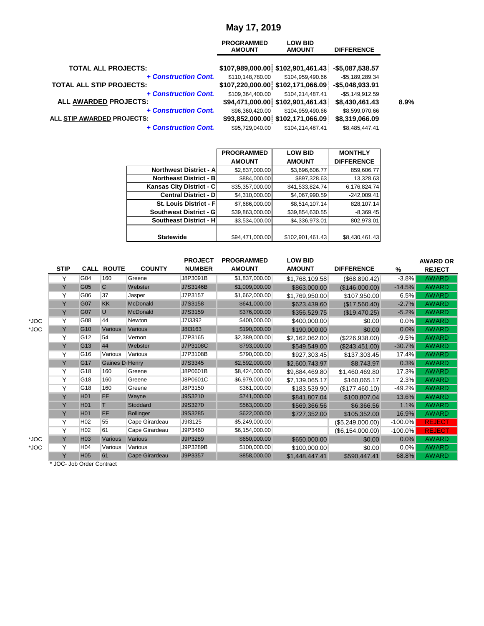#### **May 17, 2019**

|                                 | <b>PROGRAMMED</b><br><b>AMOUNT</b> | <b>LOW BID</b><br><b>AMOUNT</b>                   | <b>DIFFERENCE</b> |
|---------------------------------|------------------------------------|---------------------------------------------------|-------------------|
| <b>TOTAL ALL PROJECTS:</b>      |                                    | \$107,989,000.00 \$102,901,461.43 -\$5,087,538.57 |                   |
| + Construction Cont.            | \$110,148,780.00                   | \$104,959,490.66                                  | $-$5,189,289.34$  |
| <b>TOTAL ALL STIP PROJECTS:</b> |                                    | \$107,220,000.00 \$102,171,066.09                 | $-$5,048,933.91$  |
| + Construction Cont.            | \$109.364.400.00                   | \$104.214.487.41                                  | $-$5,149,912.59$  |
| <b>ALL AWARDED PROJECTS:</b>    |                                    | \$94,471,000.00 \$102,901,461.43                  | \$8,430,461.43    |
| + Construction Cont.            | \$96,360,420.00                    | \$104,959,490.66                                  | \$8,599,070.66    |
| ALL STIP AWARDED PROJECTS:      |                                    | \$93,852,000.00 \$102,171,066.09                  | \$8,319,066.09    |
| <b>+ Construction Cont.</b>     | \$95,729,040.00                    | \$104,214,487.41                                  | \$8,485,447.41    |
|                                 |                                    |                                                   |                   |

|                                | <b>PROGRAMMED</b> | <b>LOW BID</b>   | <b>MONTHLY</b>    |
|--------------------------------|-------------------|------------------|-------------------|
|                                | <b>AMOUNT</b>     | <b>AMOUNT</b>    | <b>DIFFERENCE</b> |
| <b>Northwest District - Al</b> | \$2,837,000.00    | \$3,696,606.77   | 859,606.77        |
| <b>Northeast District - B</b>  | \$884,000.00      | \$897,328.63     | 13,328.63         |
| Kansas City District - C       | \$35,357,000.00   | \$41,533,824.74  | 6,176,824.74      |
| <b>Central District - D</b>    | \$4,310,000.00    | \$4,067,990.59   | $-242,009.41$     |
| <b>St. Louis District - Fl</b> | \$7,686,000.00    | \$8,514,107.14   | 828,107.14        |
| <b>Southwest District - GI</b> | \$39,863,000.00   | \$39,854,630.55  | $-8,369.45$       |
| <b>Southeast District - H</b>  | \$3,534,000.00    | \$4,336,973.01   | 802,973.01        |
|                                |                   |                  |                   |
| <b>Statewide</b>               | \$94,471,000.00   | \$102,901,461.43 | \$8,430,461.43    |

|             |                 |              |                            | <b>PROJECT</b>                      | <b>PROGRAMMED</b> | <b>LOW BID</b> |                      |            | <b>AWARD OR</b> |
|-------------|-----------------|--------------|----------------------------|-------------------------------------|-------------------|----------------|----------------------|------------|-----------------|
| <b>STIP</b> |                 |              | <b>COUNTY</b>              | <b>NUMBER</b>                       | <b>AMOUNT</b>     | <b>AMOUNT</b>  | <b>DIFFERENCE</b>    | %          | <b>REJECT</b>   |
| Υ           | G04             | 160          | Greene                     | J8P3091B                            | \$1,837,000.00    | \$1,768,109.58 | $($ \$68,890.42) $ $ | $-3.8%$    | <b>AWARD</b>    |
| Y           | G05             | $\mathsf{C}$ | Webster                    | J7S3146B                            | \$1,009,000.00    | \$863,000.00   | (\$146,000.00)       | $-14.5%$   | <b>AWARD</b>    |
| Υ           | G06             | 37           | Jasper                     | J7P3157                             | \$1,662,000.00    | \$1,769,950.00 | \$107,950.00         | 6.5%       | <b>AWARD</b>    |
| Y           | G07             | <b>KK</b>    | <b>McDonald</b>            | J7S3158                             | \$641,000.00      | \$623,439.60   | (\$17,560.40)        | $-2.7%$    | <b>AWARD</b>    |
| Y           | G07             | U            | <b>McDonald</b>            | J7S3159                             | \$376,000.00      | \$356,529.75   | (\$19,470.25)        | $-5.2%$    | <b>AWARD</b>    |
| Y           | G08             | 44           | Newton                     | J713392                             | \$400,000.00      | \$400,000.00   | \$0.00               | $0.0\%$    | <b>AWARD</b>    |
| Y           | G <sub>10</sub> | Various      | Various                    | J8I3163                             | \$190,000.00      | \$190,000.00   | \$0.00               | 0.0%       | <b>AWARD</b>    |
| Υ           | G <sub>12</sub> | 54           | Vernon                     | J7P3165                             | \$2,389,000.00    | \$2,162,062.00 | (\$226,938.00)       | $-9.5%$    | <b>AWARD</b>    |
| Y           | G <sub>13</sub> | 44           | Webster                    | J7P3108C                            | \$793,000.00      | \$549,549.00   | (\$243,451.00)       | $-30.7%$   | <b>AWARD</b>    |
| Υ           | G <sub>16</sub> | Various      | Various                    | J7P3108B                            | \$790,000.00      | \$927,303.45   | \$137,303.45         | 17.4%      | <b>AWARD</b>    |
| Y           | G <sub>17</sub> |              |                            | J7S3345                             | \$2,592,000.00    | \$2,600,743.97 | \$8,743.97           | 0.3%       | <b>AWARD</b>    |
| Υ           | G <sub>18</sub> | 160          | Greene                     | J8P0601B                            | \$8,424,000.00    | \$9,884,469.80 | \$1,460,469.80       | 17.3%      | <b>AWARD</b>    |
| Υ           | G18             | 160          | Greene                     | J8P0601C                            | \$6,979,000.00    | \$7,139,065.17 | \$160,065.17         | 2.3%       | <b>AWARD</b>    |
| Υ           | G <sub>18</sub> | 160          | Greene                     | J8P3150                             | \$361,000.00      | \$183,539.90   | (\$177,460.10)       | $-49.2%$   | <b>AWARD</b>    |
| Y           | H <sub>01</sub> | FF           | Wayne                      | J9S3210                             | \$741,000.00      | \$841,807.04   | \$100,807.04         | 13.6%      | <b>AWARD</b>    |
| Y           | H <sub>01</sub> |              | Stoddard                   | J9S3270                             | \$563,000.00      | \$569,366.56   | \$6,366.56           | 1.1%       | <b>AWARD</b>    |
| Y           | H <sub>01</sub> | FF           | <b>Bollinger</b>           | J9S3285                             | \$622,000.00      | \$727,352.00   | \$105,352.00         | 16.9%      | <b>AWARD</b>    |
| Y           | H <sub>02</sub> | 55           | Cape Girardeau             | J9I3125                             | \$5,249,000.00    |                | (\$5,249,000.00)     | $-100.0\%$ | <b>REJECT</b>   |
| Υ           | H <sub>02</sub> | 61           | Cape Girardeau             | J9P3460                             | \$6,154,000.00    |                | (\$6, 154, 000.00)   | $-100.0\%$ | <b>REJECT</b>   |
| Y           | H <sub>03</sub> | Various      | Various                    | J9P3289                             | \$650,000.00      | \$650,000.00   | \$0.00               | 0.0%       | <b>AWARD</b>    |
| Y           | H <sub>04</sub> | Various      | Various                    | J9P3289B                            | \$100,000.00      | \$100,000.00   | \$0.00               | $0.0\%$    | <b>AWARD</b>    |
| Y           | <b>H05</b>      | 61           | Cape Girardeau             | J9P3357                             | \$858,000.00      | \$1,448,447.41 | \$590,447.41         | 68.8%      | <b>AWARD</b>    |
|             |                 |              | $*$ IOO Lah Order Contract | <b>CALL ROUTE</b><br>Gaines D Henry |                   |                |                      |            |                 |

\* JOC- Job Order Contract